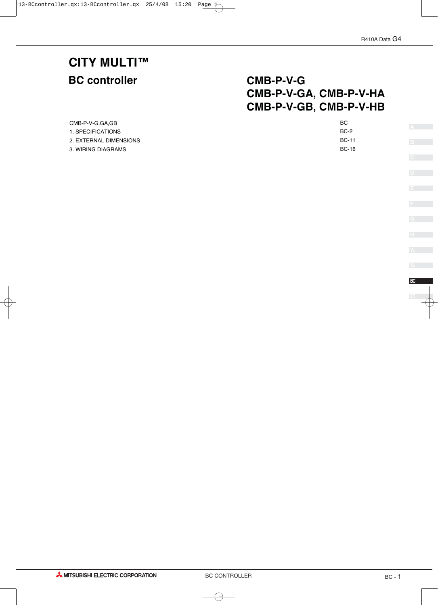# **CITY MULTI™**

# **BC controller CMB-P-V-G CMB-P-V-GA, CMB-P-V-HA CMB-P-V-GB, CMB-P-V-HB**

| CMB-P-V-G.GA.GB        | <b>BC</b>    |
|------------------------|--------------|
| 1. SPECIFICATIONS      | <b>BC-2</b>  |
| 2. EXTERNAL DIMENSIONS | <b>BC-11</b> |
| 3. WIRING DIAGRAMS     | BC-16        |
|                        |              |

**A**

**AMITSUBISHI ELECTRIC CORPORATION**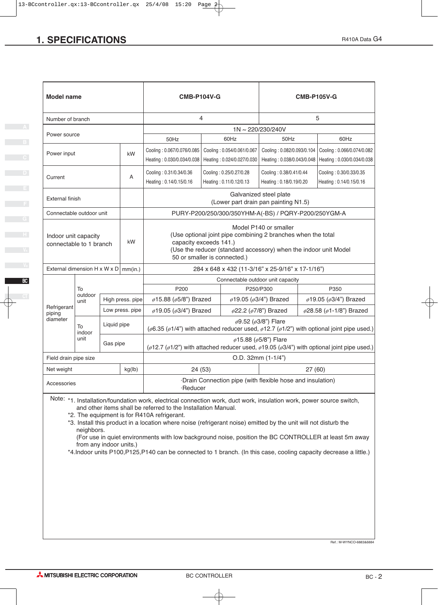| <b>SPECIFICATIONS</b>                                                                                                                       |                                                                                                                                                                               |             |                  |                                                                                                                                                                                       |                                                                                                                                                            |                         |                                                                |                                                                                                                  | R410A Data G4                                                                                                       |  |  |
|---------------------------------------------------------------------------------------------------------------------------------------------|-------------------------------------------------------------------------------------------------------------------------------------------------------------------------------|-------------|------------------|---------------------------------------------------------------------------------------------------------------------------------------------------------------------------------------|------------------------------------------------------------------------------------------------------------------------------------------------------------|-------------------------|----------------------------------------------------------------|------------------------------------------------------------------------------------------------------------------|---------------------------------------------------------------------------------------------------------------------|--|--|
|                                                                                                                                             |                                                                                                                                                                               |             |                  |                                                                                                                                                                                       |                                                                                                                                                            |                         |                                                                |                                                                                                                  |                                                                                                                     |  |  |
|                                                                                                                                             |                                                                                                                                                                               |             |                  |                                                                                                                                                                                       |                                                                                                                                                            |                         |                                                                |                                                                                                                  |                                                                                                                     |  |  |
|                                                                                                                                             |                                                                                                                                                                               |             |                  |                                                                                                                                                                                       |                                                                                                                                                            |                         |                                                                |                                                                                                                  |                                                                                                                     |  |  |
| <b>Model name</b>                                                                                                                           |                                                                                                                                                                               |             |                  | <b>CMB-P104V-G</b>                                                                                                                                                                    |                                                                                                                                                            |                         |                                                                |                                                                                                                  | <b>CMB-P105V-G</b>                                                                                                  |  |  |
| Number of branch                                                                                                                            |                                                                                                                                                                               |             |                  |                                                                                                                                                                                       | 4                                                                                                                                                          |                         |                                                                |                                                                                                                  | 5                                                                                                                   |  |  |
| Power source                                                                                                                                |                                                                                                                                                                               |             |                  |                                                                                                                                                                                       |                                                                                                                                                            |                         | 1N~220/230/240V                                                |                                                                                                                  |                                                                                                                     |  |  |
|                                                                                                                                             |                                                                                                                                                                               |             |                  | 50Hz                                                                                                                                                                                  |                                                                                                                                                            | 60Hz                    | 50Hz                                                           |                                                                                                                  | 60Hz                                                                                                                |  |  |
| Power input                                                                                                                                 |                                                                                                                                                                               |             | kW               | Cooling: 0.067/0.076/0.085<br>Cooling: 0.054/0.061/0.067<br>Heating: 0.030/0.034/0.038   Heating: 0.024/0.027/0.030                                                                   |                                                                                                                                                            |                         |                                                                | Cooling: 0.082/0.093/0.104 Cooling: 0.066/0.074/0.082<br>Heating: 0.038/0.043/0.048   Heating: 0.030/0.034/0.038 |                                                                                                                     |  |  |
| Current                                                                                                                                     |                                                                                                                                                                               |             | $\mathsf{A}$     | Cooling: 0.31/0.34/0.36                                                                                                                                                               |                                                                                                                                                            | Cooling: 0.25/0.27/0.28 |                                                                | Cooling: 0.38/0.41/0.44<br>Cooling: 0.30/0.33/0.35                                                               |                                                                                                                     |  |  |
|                                                                                                                                             |                                                                                                                                                                               |             |                  | Heating: 0.14/0.15/0.16                                                                                                                                                               |                                                                                                                                                            | Heating: 0.11/0.12/0.13 | Heating: 0.18/0.19/0.20<br>Galvanized steel plate              |                                                                                                                  | Heating: 0.14/0.15/0.16                                                                                             |  |  |
| External finish                                                                                                                             |                                                                                                                                                                               |             |                  |                                                                                                                                                                                       |                                                                                                                                                            |                         | (Lower part drain pan painting N1.5)                           |                                                                                                                  |                                                                                                                     |  |  |
| Connectable outdoor unit                                                                                                                    |                                                                                                                                                                               |             |                  |                                                                                                                                                                                       |                                                                                                                                                            |                         | PURY-P200/250/300/350YHM-A(-BS) / PQRY-P200/250YGM-A           |                                                                                                                  |                                                                                                                     |  |  |
| Indoor unit capacity                                                                                                                        |                                                                                                                                                                               |             |                  |                                                                                                                                                                                       |                                                                                                                                                            |                         | Model P140 or smaller                                          |                                                                                                                  |                                                                                                                     |  |  |
| connectable to 1 branch                                                                                                                     |                                                                                                                                                                               |             | kW               |                                                                                                                                                                                       | (Use optional joint pipe combining 2 branches when the total<br>capacity exceeds 141.)<br>(Use the reducer (standard accessory) when the indoor unit Model |                         |                                                                |                                                                                                                  |                                                                                                                     |  |  |
|                                                                                                                                             |                                                                                                                                                                               |             |                  | 50 or smaller is connected.)                                                                                                                                                          |                                                                                                                                                            |                         |                                                                |                                                                                                                  |                                                                                                                     |  |  |
| External dimension H x W x D $\vert$ mm(in.)                                                                                                |                                                                                                                                                                               |             |                  |                                                                                                                                                                                       |                                                                                                                                                            |                         | Connectable outdoor unit capacity                              | 284 x 648 x 432 (11-3/16" x 25-9/16" x 17-1/16")                                                                 |                                                                                                                     |  |  |
|                                                                                                                                             | To<br>outdoor                                                                                                                                                                 |             |                  | P200                                                                                                                                                                                  |                                                                                                                                                            |                         | P250/P300                                                      |                                                                                                                  | P350                                                                                                                |  |  |
| Refrigerant                                                                                                                                 | unit                                                                                                                                                                          |             | High press. pipe | ø15.88 (ø5/8") Brazed                                                                                                                                                                 |                                                                                                                                                            |                         | ø19.05 (ø3/4") Brazed                                          |                                                                                                                  | $\phi$ 19.05 ( $\phi$ 3/4") Brazed                                                                                  |  |  |
| piping<br>diameter                                                                                                                          |                                                                                                                                                                               |             | Low press. pipe  | ø19.05 (ø3/4") Brazed                                                                                                                                                                 |                                                                                                                                                            |                         | $\varphi$ 22.2 ( $\varphi$ 7/8") Brazed<br>ø9.52 (ø3/8") Flare |                                                                                                                  | $\phi$ 28.58 ( $\phi$ 1-1/8") Brazed                                                                                |  |  |
|                                                                                                                                             | To<br>indoor                                                                                                                                                                  | Liquid pipe |                  |                                                                                                                                                                                       |                                                                                                                                                            |                         |                                                                |                                                                                                                  | ( $\phi$ 6.35 ( $\phi$ 1/4") with attached reducer used, $\phi$ 12.7 ( $\phi$ 1/2") with optional joint pipe used.) |  |  |
|                                                                                                                                             | unit<br>$\phi$ 15.88 ( $\phi$ 5/8") Flare<br>Gas pipe<br>( $\phi$ 12.7 ( $\phi$ 1/2") with attached reducer used, $\phi$ 19.05 ( $\phi$ 3/4") with optional joint pipe used.) |             |                  |                                                                                                                                                                                       |                                                                                                                                                            |                         |                                                                |                                                                                                                  |                                                                                                                     |  |  |
|                                                                                                                                             | O.D. 32mm (1-1/4")<br>Field drain pipe size                                                                                                                                   |             |                  |                                                                                                                                                                                       |                                                                                                                                                            |                         |                                                                |                                                                                                                  |                                                                                                                     |  |  |
| Net weight                                                                                                                                  |                                                                                                                                                                               |             | kg(lb)           |                                                                                                                                                                                       | 24 (53)                                                                                                                                                    |                         |                                                                |                                                                                                                  | 27(60)                                                                                                              |  |  |
| Accessories                                                                                                                                 |                                                                                                                                                                               |             |                  | ·Reducer                                                                                                                                                                              |                                                                                                                                                            |                         | ·Drain Connection pipe (with flexible hose and insulation)     |                                                                                                                  |                                                                                                                     |  |  |
|                                                                                                                                             |                                                                                                                                                                               |             |                  | Note: *1. Installation/foundation work, electrical connection work, duct work, insulation work, power source switch,<br>and other items shall be referred to the Installation Manual. |                                                                                                                                                            |                         |                                                                |                                                                                                                  |                                                                                                                     |  |  |
|                                                                                                                                             |                                                                                                                                                                               |             |                  | *2. The equipment is for R410A refrigerant.                                                                                                                                           |                                                                                                                                                            |                         |                                                                |                                                                                                                  |                                                                                                                     |  |  |
|                                                                                                                                             | neighbors.                                                                                                                                                                    |             |                  | *3. Install this product in a location where noise (refrigerant noise) emitted by the unit will not disturb the                                                                       |                                                                                                                                                            |                         |                                                                |                                                                                                                  |                                                                                                                     |  |  |
|                                                                                                                                             |                                                                                                                                                                               |             |                  |                                                                                                                                                                                       |                                                                                                                                                            |                         |                                                                |                                                                                                                  | (For use in quiet environments with low background noise, position the BC CONTROLLER at least 5m away               |  |  |
| from any indoor units.)<br>*4.Indoor units P100,P125,P140 can be connected to 1 branch. (In this case, cooling capacity decrease a little.) |                                                                                                                                                                               |             |                  |                                                                                                                                                                                       |                                                                                                                                                            |                         |                                                                |                                                                                                                  |                                                                                                                     |  |  |

**D**

**E**

**G**

Ref.: M-WYNCO-6883&6884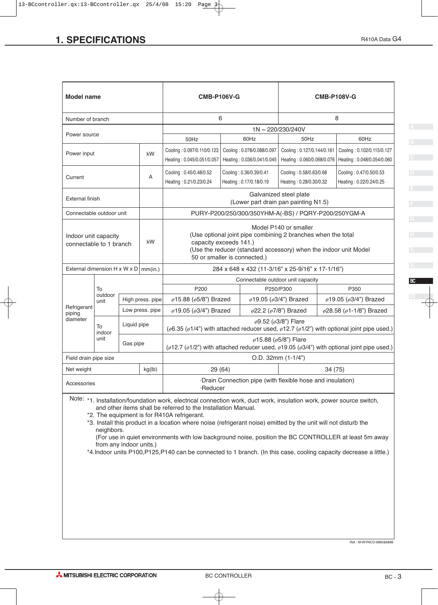| <b>SPECIFICATIONS</b>                           |                                                                                                                                            |                                                                                                                                  |                                                                                                                                                                                       |                                                                                      |                                                                       |                                                  | R410A Data G4           |  |
|-------------------------------------------------|--------------------------------------------------------------------------------------------------------------------------------------------|----------------------------------------------------------------------------------------------------------------------------------|---------------------------------------------------------------------------------------------------------------------------------------------------------------------------------------|--------------------------------------------------------------------------------------|-----------------------------------------------------------------------|--------------------------------------------------|-------------------------|--|
|                                                 |                                                                                                                                            |                                                                                                                                  |                                                                                                                                                                                       |                                                                                      |                                                                       |                                                  |                         |  |
|                                                 |                                                                                                                                            |                                                                                                                                  |                                                                                                                                                                                       |                                                                                      |                                                                       |                                                  |                         |  |
|                                                 |                                                                                                                                            |                                                                                                                                  |                                                                                                                                                                                       |                                                                                      |                                                                       |                                                  |                         |  |
| <b>Model name</b>                               |                                                                                                                                            |                                                                                                                                  | <b>CMB-P106V-G</b>                                                                                                                                                                    |                                                                                      |                                                                       | <b>CMB-P108V-G</b>                               |                         |  |
|                                                 |                                                                                                                                            |                                                                                                                                  |                                                                                                                                                                                       |                                                                                      |                                                                       |                                                  |                         |  |
| Number of branch                                |                                                                                                                                            |                                                                                                                                  | 6                                                                                                                                                                                     | 8                                                                                    |                                                                       |                                                  |                         |  |
| Power source                                    |                                                                                                                                            |                                                                                                                                  | 1N~220/230/240V<br>50Hz<br>60Hz<br>60Hz<br>50Hz                                                                                                                                       |                                                                                      |                                                                       |                                                  |                         |  |
| Power input                                     |                                                                                                                                            | kW                                                                                                                               | Cooling: 0.097/0.110/0.123<br>Cooling: 0.078/0.088/0.097                                                                                                                              |                                                                                      | Cooling: 0.127/0.144/0.161<br>Cooling: 0.102/0.115/0.127              |                                                  |                         |  |
|                                                 |                                                                                                                                            |                                                                                                                                  | Heating: 0.045/0.051/0.057                                                                                                                                                            | Heating: 0.036/0.041/0.045   Heating: 0.060/0.068/0.076   Heating: 0.048/0.054/0.060 |                                                                       |                                                  |                         |  |
| Current                                         |                                                                                                                                            | $\mathsf{A}$                                                                                                                     | Cooling: 0.45/0.48/0.52                                                                                                                                                               | Cooling: 0.36/0.39/0.41                                                              | Cooling: 0.58/0.63/0.68                                               |                                                  | Cooling: 0.47/0.50/0.53 |  |
|                                                 |                                                                                                                                            |                                                                                                                                  | Heating: 0.21/0.23/0.24                                                                                                                                                               | Heating: 0.17/0.18/0.19                                                              | Heating: 0.28/0.30/0.32                                               |                                                  | Heating: 0.22/0.24/0.25 |  |
| External finish                                 |                                                                                                                                            |                                                                                                                                  |                                                                                                                                                                                       |                                                                                      | Galvanized steel plate<br>(Lower part drain pan painting N1.5)        |                                                  |                         |  |
| Connectable outdoor unit                        |                                                                                                                                            |                                                                                                                                  | PURY-P200/250/300/350YHM-A(-BS) / PQRY-P200/250YGM-A                                                                                                                                  |                                                                                      |                                                                       |                                                  |                         |  |
|                                                 |                                                                                                                                            |                                                                                                                                  |                                                                                                                                                                                       |                                                                                      | Model P140 or smaller                                                 |                                                  |                         |  |
| Indoor unit capacity<br>connectable to 1 branch |                                                                                                                                            | kW                                                                                                                               | (Use optional joint pipe combining 2 branches when the total<br>capacity exceeds 141.)                                                                                                |                                                                                      |                                                                       |                                                  |                         |  |
|                                                 |                                                                                                                                            |                                                                                                                                  | (Use the reducer (standard accessory) when the indoor unit Model<br>50 or smaller is connected.)                                                                                      |                                                                                      |                                                                       |                                                  |                         |  |
| External dimension H x W x D $\vert$ mm(in.)    |                                                                                                                                            |                                                                                                                                  |                                                                                                                                                                                       |                                                                                      |                                                                       |                                                  |                         |  |
|                                                 |                                                                                                                                            |                                                                                                                                  |                                                                                                                                                                                       |                                                                                      | Connectable outdoor unit capacity                                     | 284 x 648 x 432 (11-3/16" x 25-9/16" x 17-1/16") |                         |  |
| To<br>outdoor                                   |                                                                                                                                            |                                                                                                                                  | P200                                                                                                                                                                                  |                                                                                      | P250/P300                                                             | P350                                             |                         |  |
| unit<br>Refrigerant                             |                                                                                                                                            | High press. pipe                                                                                                                 | ø15.88 (ø5/8") Brazed                                                                                                                                                                 |                                                                                      | ø19.05 (ø3/4") Brazed                                                 | $\phi$ 19.05 ( $\phi$ 3/4") Brazed               |                         |  |
| piping<br>diameter                              |                                                                                                                                            | Low press. pipe                                                                                                                  | ø19.05 (ø3/4") Brazed                                                                                                                                                                 |                                                                                      | $\phi$ 22.2 ( $\phi$ 7/8") Brazed<br>$\phi$ 9.52 ( $\phi$ 3/8") Flare | $\phi$ 28.58 ( $\phi$ 1-1/8") Brazed             |                         |  |
| To<br>indoor                                    | Liquid pipe                                                                                                                                |                                                                                                                                  | ( $\phi$ 6.35 ( $\phi$ 1/4") with attached reducer used, $\phi$ 12.7 ( $\phi$ 1/2") with optional joint pipe used.)                                                                   |                                                                                      |                                                                       |                                                  |                         |  |
| unit                                            | Gas pipe                                                                                                                                   |                                                                                                                                  |                                                                                                                                                                                       |                                                                                      | $\phi$ 15.88 ( $\phi$ 5/8") Flare                                     |                                                  |                         |  |
| Field drain pipe size                           | ( $\phi$ 12.7 ( $\phi$ 1/2") with attached reducer used, $\phi$ 19.05 ( $\phi$ 3/4") with optional joint pipe used.)<br>O.D. 32mm (1-1/4") |                                                                                                                                  |                                                                                                                                                                                       |                                                                                      |                                                                       |                                                  |                         |  |
| Net weight                                      |                                                                                                                                            | kg(lb)                                                                                                                           | 29 (64)                                                                                                                                                                               |                                                                                      |                                                                       | 34 (75)                                          |                         |  |
| Accessories                                     |                                                                                                                                            |                                                                                                                                  |                                                                                                                                                                                       |                                                                                      | ·Drain Connection pipe (with flexible hose and insulation)            |                                                  |                         |  |
|                                                 |                                                                                                                                            |                                                                                                                                  | ·Reducer                                                                                                                                                                              |                                                                                      |                                                                       |                                                  |                         |  |
|                                                 |                                                                                                                                            |                                                                                                                                  | Note: *1. Installation/foundation work, electrical connection work, duct work, insulation work, power source switch,<br>and other items shall be referred to the Installation Manual. |                                                                                      |                                                                       |                                                  |                         |  |
| *2. The equipment is for R410A refrigerant.     |                                                                                                                                            |                                                                                                                                  |                                                                                                                                                                                       |                                                                                      |                                                                       |                                                  |                         |  |
|                                                 | *3. Install this product in a location where noise (refrigerant noise) emitted by the unit will not disturb the<br>neighbors.              |                                                                                                                                  |                                                                                                                                                                                       |                                                                                      |                                                                       |                                                  |                         |  |
|                                                 |                                                                                                                                            | (For use in quiet environments with low background noise, position the BC CONTROLLER at least 5m away<br>from any indoor units.) |                                                                                                                                                                                       |                                                                                      |                                                                       |                                                  |                         |  |
|                                                 |                                                                                                                                            |                                                                                                                                  | *4.Indoor units P100,P125,P140 can be connected to 1 branch. (In this case, cooling capacity decrease a little.)                                                                      |                                                                                      |                                                                       |                                                  |                         |  |

Ref.: M-WYNCO-6885&6886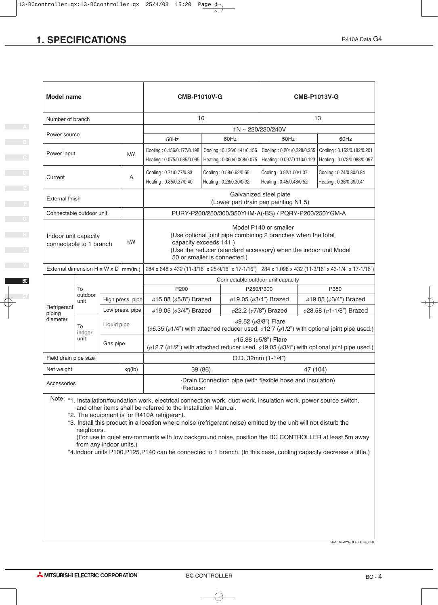| <b>SPECIFICATIONS</b>                           |                                                                                                                                                                               |             |                                                                                                                                             |                                                                                                                                                            |         |                                                    |                                                                                                                                           |                                                                                                                                                                                                                                        | R410A Data G4                                                                                                       |  |  |  |
|-------------------------------------------------|-------------------------------------------------------------------------------------------------------------------------------------------------------------------------------|-------------|---------------------------------------------------------------------------------------------------------------------------------------------|------------------------------------------------------------------------------------------------------------------------------------------------------------|---------|----------------------------------------------------|-------------------------------------------------------------------------------------------------------------------------------------------|----------------------------------------------------------------------------------------------------------------------------------------------------------------------------------------------------------------------------------------|---------------------------------------------------------------------------------------------------------------------|--|--|--|
|                                                 |                                                                                                                                                                               |             |                                                                                                                                             |                                                                                                                                                            |         |                                                    |                                                                                                                                           |                                                                                                                                                                                                                                        |                                                                                                                     |  |  |  |
|                                                 |                                                                                                                                                                               |             |                                                                                                                                             |                                                                                                                                                            |         |                                                    |                                                                                                                                           |                                                                                                                                                                                                                                        |                                                                                                                     |  |  |  |
|                                                 |                                                                                                                                                                               |             |                                                                                                                                             |                                                                                                                                                            |         |                                                    |                                                                                                                                           |                                                                                                                                                                                                                                        |                                                                                                                     |  |  |  |
| <b>Model name</b>                               |                                                                                                                                                                               |             |                                                                                                                                             | <b>CMB-P1010V-G</b>                                                                                                                                        |         |                                                    |                                                                                                                                           |                                                                                                                                                                                                                                        | <b>CMB-P1013V-G</b>                                                                                                 |  |  |  |
| Number of branch                                |                                                                                                                                                                               |             |                                                                                                                                             | 10                                                                                                                                                         |         |                                                    |                                                                                                                                           |                                                                                                                                                                                                                                        | 13                                                                                                                  |  |  |  |
| Power source                                    |                                                                                                                                                                               |             |                                                                                                                                             |                                                                                                                                                            |         |                                                    | 1N~220/230/240V                                                                                                                           |                                                                                                                                                                                                                                        |                                                                                                                     |  |  |  |
|                                                 |                                                                                                                                                                               |             |                                                                                                                                             | 50Hz                                                                                                                                                       |         | 60Hz                                               | 50Hz                                                                                                                                      |                                                                                                                                                                                                                                        | 60Hz                                                                                                                |  |  |  |
| Power input                                     |                                                                                                                                                                               |             | kW                                                                                                                                          |                                                                                                                                                            |         |                                                    |                                                                                                                                           | Cooling: 0.156/0.177/0.198   Cooling: 0.126/0.141/0.156   Cooling: 0.201/0.228/0.255   Cooling: 0.162/0.182/0.201<br>Heating: 0.075/0.085/0.095   Heating: 0.060/0.068/0.075   Heating: 0.097/0.110/0.123   Heating: 0.078/0.088/0.097 |                                                                                                                     |  |  |  |
| Current                                         |                                                                                                                                                                               |             | $\mathsf{A}$                                                                                                                                | Cooling: 0.71/0.77/0.83<br>Heating: 0.35/0.37/0.40                                                                                                         |         | Cooling: 0.58/0.62/0.65<br>Heating: 0.28/0.30/0.32 |                                                                                                                                           | Cooling: 0.92/1.00/1.07<br>Cooling: 0.74/0.80/0.84<br>Heating: 0.45/0.48/0.52<br>Heating: 0.36/0.39/0.41                                                                                                                               |                                                                                                                     |  |  |  |
| External finish                                 |                                                                                                                                                                               |             |                                                                                                                                             |                                                                                                                                                            |         |                                                    | Galvanized steel plate<br>(Lower part drain pan painting N1.5)                                                                            |                                                                                                                                                                                                                                        |                                                                                                                     |  |  |  |
| Connectable outdoor unit                        |                                                                                                                                                                               |             |                                                                                                                                             |                                                                                                                                                            |         |                                                    | PURY-P200/250/300/350YHM-A(-BS) / PQRY-P200/250YGM-A                                                                                      |                                                                                                                                                                                                                                        |                                                                                                                     |  |  |  |
|                                                 |                                                                                                                                                                               |             |                                                                                                                                             |                                                                                                                                                            |         |                                                    | Model P140 or smaller                                                                                                                     |                                                                                                                                                                                                                                        |                                                                                                                     |  |  |  |
| Indoor unit capacity<br>connectable to 1 branch |                                                                                                                                                                               |             | kW                                                                                                                                          | (Use optional joint pipe combining 2 branches when the total<br>capacity exceeds 141.)<br>(Use the reducer (standard accessory) when the indoor unit Model |         |                                                    |                                                                                                                                           |                                                                                                                                                                                                                                        |                                                                                                                     |  |  |  |
|                                                 |                                                                                                                                                                               |             |                                                                                                                                             | 50 or smaller is connected.)                                                                                                                               |         |                                                    | External dimension H x W x D   mm(in.) 284 x 648 x 432 (11-3/16" x 25-9/16" x 17-1/16") 284 x 1,098 x 432 (11-3/16" x 43-1/4" x 17-1/16") |                                                                                                                                                                                                                                        |                                                                                                                     |  |  |  |
|                                                 |                                                                                                                                                                               |             |                                                                                                                                             |                                                                                                                                                            |         |                                                    | Connectable outdoor unit capacity                                                                                                         |                                                                                                                                                                                                                                        |                                                                                                                     |  |  |  |
|                                                 | To                                                                                                                                                                            |             |                                                                                                                                             | P200                                                                                                                                                       |         |                                                    | P250/P300                                                                                                                                 |                                                                                                                                                                                                                                        | P350                                                                                                                |  |  |  |
| Refrigerant                                     | outdoor<br>unit                                                                                                                                                               |             | High press. pipe                                                                                                                            | ø15.88 (ø5/8") Brazed                                                                                                                                      |         |                                                    | ø19.05 (ø3/4") Brazed                                                                                                                     |                                                                                                                                                                                                                                        | $\phi$ 19.05 ( $\phi$ 3/4") Brazed                                                                                  |  |  |  |
| piping<br>diameter                              |                                                                                                                                                                               |             | Low press. pipe                                                                                                                             | ø19.05 (ø3/4") Brazed                                                                                                                                      |         |                                                    | $\varphi$ 22.2 ( $\varphi$ 7/8") Brazed<br>ø9.52 (ø3/8") Flare                                                                            |                                                                                                                                                                                                                                        | $\phi$ 28.58 ( $\phi$ 1-1/8") Brazed                                                                                |  |  |  |
|                                                 | To<br>indoor                                                                                                                                                                  | Liquid pipe |                                                                                                                                             |                                                                                                                                                            |         |                                                    |                                                                                                                                           |                                                                                                                                                                                                                                        | ( $\phi$ 6.35 ( $\phi$ 1/4") with attached reducer used, $\phi$ 12.7 ( $\phi$ 1/2") with optional joint pipe used.) |  |  |  |
|                                                 | unit<br>$\phi$ 15.88 ( $\phi$ 5/8") Flare<br>Gas pipe<br>( $\phi$ 12.7 ( $\phi$ 1/2") with attached reducer used, $\phi$ 19.05 ( $\phi$ 3/4") with optional joint pipe used.) |             |                                                                                                                                             |                                                                                                                                                            |         |                                                    |                                                                                                                                           |                                                                                                                                                                                                                                        |                                                                                                                     |  |  |  |
|                                                 | O.D. 32mm (1-1/4")<br>Field drain pipe size                                                                                                                                   |             |                                                                                                                                             |                                                                                                                                                            |         |                                                    |                                                                                                                                           |                                                                                                                                                                                                                                        |                                                                                                                     |  |  |  |
| Net weight                                      |                                                                                                                                                                               |             | kg(lb)                                                                                                                                      |                                                                                                                                                            | 39 (86) |                                                    |                                                                                                                                           |                                                                                                                                                                                                                                        | 47 (104)                                                                                                            |  |  |  |
| Accessories                                     |                                                                                                                                                                               |             |                                                                                                                                             | ·Reducer                                                                                                                                                   |         |                                                    | ·Drain Connection pipe (with flexible hose and insulation)                                                                                |                                                                                                                                                                                                                                        |                                                                                                                     |  |  |  |
|                                                 |                                                                                                                                                                               |             |                                                                                                                                             | Note: *1. Installation/foundation work, electrical connection work, duct work, insulation work, power source switch,                                       |         |                                                    |                                                                                                                                           |                                                                                                                                                                                                                                        |                                                                                                                     |  |  |  |
|                                                 |                                                                                                                                                                               |             |                                                                                                                                             | and other items shall be referred to the Installation Manual.<br>*2. The equipment is for R410A refrigerant.                                               |         |                                                    |                                                                                                                                           |                                                                                                                                                                                                                                        |                                                                                                                     |  |  |  |
|                                                 |                                                                                                                                                                               |             |                                                                                                                                             | *3. Install this product in a location where noise (refrigerant noise) emitted by the unit will not disturb the                                            |         |                                                    |                                                                                                                                           |                                                                                                                                                                                                                                        |                                                                                                                     |  |  |  |
|                                                 | neighbors.<br>(For use in quiet environments with low background noise, position the BC CONTROLLER at least 5m away                                                           |             |                                                                                                                                             |                                                                                                                                                            |         |                                                    |                                                                                                                                           |                                                                                                                                                                                                                                        |                                                                                                                     |  |  |  |
|                                                 |                                                                                                                                                                               |             | from any indoor units.)<br>*4.Indoor units P100,P125,P140 can be connected to 1 branch. (In this case, cooling capacity decrease a little.) |                                                                                                                                                            |         |                                                    |                                                                                                                                           |                                                                                                                                                                                                                                        |                                                                                                                     |  |  |  |

**D**

**E**

**F**

Ref.: M-WYNCO-6887&6888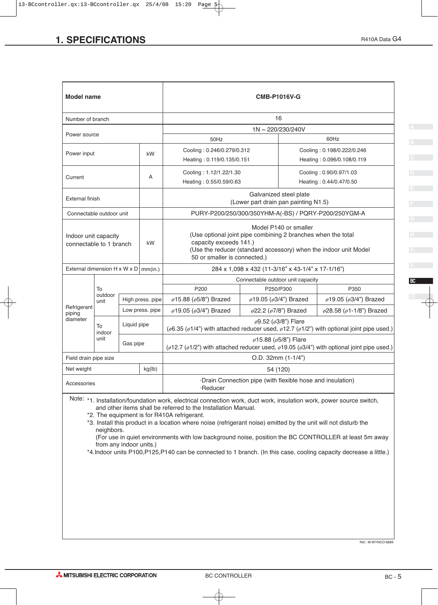| <b>SPECIFICATIONS</b>                  |                                                                                                                                                                                                                                                                              |             |                  |                                                                                                                                                                                                                                                                                                                                                         |                                                                | R410A Data G4                                                                                                                                                                                                             |  |  |
|----------------------------------------|------------------------------------------------------------------------------------------------------------------------------------------------------------------------------------------------------------------------------------------------------------------------------|-------------|------------------|---------------------------------------------------------------------------------------------------------------------------------------------------------------------------------------------------------------------------------------------------------------------------------------------------------------------------------------------------------|----------------------------------------------------------------|---------------------------------------------------------------------------------------------------------------------------------------------------------------------------------------------------------------------------|--|--|
|                                        |                                                                                                                                                                                                                                                                              |             |                  |                                                                                                                                                                                                                                                                                                                                                         |                                                                |                                                                                                                                                                                                                           |  |  |
| <b>Model name</b>                      |                                                                                                                                                                                                                                                                              |             |                  |                                                                                                                                                                                                                                                                                                                                                         | <b>CMB-P1016V-G</b>                                            |                                                                                                                                                                                                                           |  |  |
| Number of branch                       |                                                                                                                                                                                                                                                                              |             |                  |                                                                                                                                                                                                                                                                                                                                                         | 16                                                             |                                                                                                                                                                                                                           |  |  |
| Power source                           |                                                                                                                                                                                                                                                                              |             |                  |                                                                                                                                                                                                                                                                                                                                                         | 1N~220/230/240V                                                |                                                                                                                                                                                                                           |  |  |
|                                        | 50Hz                                                                                                                                                                                                                                                                         |             |                  |                                                                                                                                                                                                                                                                                                                                                         | 60Hz                                                           |                                                                                                                                                                                                                           |  |  |
| Power input                            | Cooling: 0.246/0.279/0.312<br>kW<br>Heating: 0.119/0.135/0.151                                                                                                                                                                                                               |             |                  |                                                                                                                                                                                                                                                                                                                                                         | Cooling: 0.198/0.222/0.246<br>Heating: 0.096/0.108/0.119       |                                                                                                                                                                                                                           |  |  |
| Current                                |                                                                                                                                                                                                                                                                              |             | Α                | Cooling: 1.12/1.22/1.30<br>Heating: 0.55/0.59/0.63                                                                                                                                                                                                                                                                                                      |                                                                | Cooling: 0.90/0.97/1.03<br>Heating: 0.44/0.47/0.50                                                                                                                                                                        |  |  |
| <b>External finish</b>                 |                                                                                                                                                                                                                                                                              |             |                  |                                                                                                                                                                                                                                                                                                                                                         | Galvanized steel plate<br>(Lower part drain pan painting N1.5) |                                                                                                                                                                                                                           |  |  |
| Connectable outdoor unit               |                                                                                                                                                                                                                                                                              |             |                  |                                                                                                                                                                                                                                                                                                                                                         | PURY-P200/250/300/350YHM-A(-BS) / PQRY-P200/250YGM-A           |                                                                                                                                                                                                                           |  |  |
|                                        | Model P140 or smaller<br>(Use optional joint pipe combining 2 branches when the total<br>Indoor unit capacity<br>capacity exceeds 141.)<br>kW<br>connectable to 1 branch<br>(Use the reducer (standard accessory) when the indoor unit Model<br>50 or smaller is connected.) |             |                  |                                                                                                                                                                                                                                                                                                                                                         |                                                                |                                                                                                                                                                                                                           |  |  |
| External dimension H x W x D   mm(in.) |                                                                                                                                                                                                                                                                              |             |                  |                                                                                                                                                                                                                                                                                                                                                         | 284 x 1,098 x 432 (11-3/16" x 43-1/4" x 17-1/16")              |                                                                                                                                                                                                                           |  |  |
|                                        |                                                                                                                                                                                                                                                                              |             |                  |                                                                                                                                                                                                                                                                                                                                                         | Connectable outdoor unit capacity                              |                                                                                                                                                                                                                           |  |  |
|                                        | To                                                                                                                                                                                                                                                                           |             |                  | P200                                                                                                                                                                                                                                                                                                                                                    | P250/P300                                                      | P350                                                                                                                                                                                                                      |  |  |
|                                        | outdoor<br>unit                                                                                                                                                                                                                                                              |             | High press. pipe | $\phi$ 15.88 ( $\phi$ 5/8") Brazed                                                                                                                                                                                                                                                                                                                      | ø19.05 (ø3/4") Brazed                                          | $\phi$ 19.05 ( $\phi$ 3/4") Brazed                                                                                                                                                                                        |  |  |
| Refrigerant<br>piping<br>diameter      | To                                                                                                                                                                                                                                                                           | Liquid pipe | Low press. pipe  | ø28.58 (ø1-1/8") Brazed<br>$\phi$ 19.05 ( $\phi$ 3/4") Brazed<br>$\phi$ 22.2 ( $\phi$ 7/8") Brazed<br>$\phi$ 9.52 ( $\phi$ 3/8") Flare                                                                                                                                                                                                                  |                                                                |                                                                                                                                                                                                                           |  |  |
|                                        | indoor<br>unit                                                                                                                                                                                                                                                               | Gas pipe    |                  | ( $\phi$ 6.35 ( $\phi$ 1/4") with attached reducer used, $\phi$ 12.7 ( $\phi$ 1/2") with optional joint pipe used.)<br>$\phi$ 15.88 ( $\phi$ 5/8") Flare<br>( $\phi$ 12.7 ( $\phi$ 1/2") with attached reducer used, $\phi$ 19.05 ( $\phi$ 3/4") with optional joint pipe used.)                                                                        |                                                                |                                                                                                                                                                                                                           |  |  |
| Field drain pipe size                  |                                                                                                                                                                                                                                                                              |             |                  |                                                                                                                                                                                                                                                                                                                                                         | O.D. 32mm (1-1/4")                                             |                                                                                                                                                                                                                           |  |  |
| Net weight                             |                                                                                                                                                                                                                                                                              |             | kg(lb)           |                                                                                                                                                                                                                                                                                                                                                         | 54 (120)                                                       |                                                                                                                                                                                                                           |  |  |
| Accessories                            |                                                                                                                                                                                                                                                                              |             |                  | ·Reducer                                                                                                                                                                                                                                                                                                                                                | ·Drain Connection pipe (with flexible hose and insulation)     |                                                                                                                                                                                                                           |  |  |
|                                        | neighbors.<br>from any indoor units.)                                                                                                                                                                                                                                        |             |                  | Note: *1. Installation/foundation work, electrical connection work, duct work, insulation work, power source switch,<br>and other items shall be referred to the Installation Manual.<br>*2. The equipment is for R410A refrigerant.<br>*3. Install this product in a location where noise (refrigerant noise) emitted by the unit will not disturb the |                                                                | (For use in quiet environments with low background noise, position the BC CONTROLLER at least 5m away<br>*4.Indoor units P100,P125,P140 can be connected to 1 branch. (In this case, cooling capacity decrease a little.) |  |  |

Ref.: M-WYNCO-6889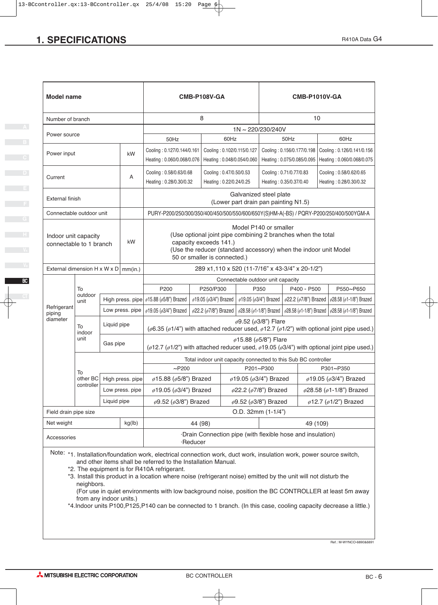|                                                                                 |                                   |                                                                                                                                                                                                                            |                                                                                                                                                                  |                                                                                                                                                                                                                                                                                                                                                                             |                                                                                                                                                                                                                                                                                                                                                                                                                                                 | R410A Data G4                                                                                                                                                                                                                                                                                                                                                                                                                                                                                                                                                                                                                                                                                                                                                                                                                                                                                                                                                                                                                                                                                                                                                                                                                                                                                                                                                                                                              |  |  |
|---------------------------------------------------------------------------------|-----------------------------------|----------------------------------------------------------------------------------------------------------------------------------------------------------------------------------------------------------------------------|------------------------------------------------------------------------------------------------------------------------------------------------------------------|-----------------------------------------------------------------------------------------------------------------------------------------------------------------------------------------------------------------------------------------------------------------------------------------------------------------------------------------------------------------------------|-------------------------------------------------------------------------------------------------------------------------------------------------------------------------------------------------------------------------------------------------------------------------------------------------------------------------------------------------------------------------------------------------------------------------------------------------|----------------------------------------------------------------------------------------------------------------------------------------------------------------------------------------------------------------------------------------------------------------------------------------------------------------------------------------------------------------------------------------------------------------------------------------------------------------------------------------------------------------------------------------------------------------------------------------------------------------------------------------------------------------------------------------------------------------------------------------------------------------------------------------------------------------------------------------------------------------------------------------------------------------------------------------------------------------------------------------------------------------------------------------------------------------------------------------------------------------------------------------------------------------------------------------------------------------------------------------------------------------------------------------------------------------------------------------------------------------------------------------------------------------------------|--|--|
|                                                                                 |                                   |                                                                                                                                                                                                                            |                                                                                                                                                                  |                                                                                                                                                                                                                                                                                                                                                                             |                                                                                                                                                                                                                                                                                                                                                                                                                                                 |                                                                                                                                                                                                                                                                                                                                                                                                                                                                                                                                                                                                                                                                                                                                                                                                                                                                                                                                                                                                                                                                                                                                                                                                                                                                                                                                                                                                                            |  |  |
|                                                                                 |                                   |                                                                                                                                                                                                                            |                                                                                                                                                                  |                                                                                                                                                                                                                                                                                                                                                                             |                                                                                                                                                                                                                                                                                                                                                                                                                                                 |                                                                                                                                                                                                                                                                                                                                                                                                                                                                                                                                                                                                                                                                                                                                                                                                                                                                                                                                                                                                                                                                                                                                                                                                                                                                                                                                                                                                                            |  |  |
| <b>Model name</b>                                                               |                                   |                                                                                                                                                                                                                            |                                                                                                                                                                  |                                                                                                                                                                                                                                                                                                                                                                             |                                                                                                                                                                                                                                                                                                                                                                                                                                                 |                                                                                                                                                                                                                                                                                                                                                                                                                                                                                                                                                                                                                                                                                                                                                                                                                                                                                                                                                                                                                                                                                                                                                                                                                                                                                                                                                                                                                            |  |  |
|                                                                                 |                                   |                                                                                                                                                                                                                            |                                                                                                                                                                  |                                                                                                                                                                                                                                                                                                                                                                             | 10                                                                                                                                                                                                                                                                                                                                                                                                                                              |                                                                                                                                                                                                                                                                                                                                                                                                                                                                                                                                                                                                                                                                                                                                                                                                                                                                                                                                                                                                                                                                                                                                                                                                                                                                                                                                                                                                                            |  |  |
| Power source                                                                    |                                   |                                                                                                                                                                                                                            |                                                                                                                                                                  |                                                                                                                                                                                                                                                                                                                                                                             |                                                                                                                                                                                                                                                                                                                                                                                                                                                 |                                                                                                                                                                                                                                                                                                                                                                                                                                                                                                                                                                                                                                                                                                                                                                                                                                                                                                                                                                                                                                                                                                                                                                                                                                                                                                                                                                                                                            |  |  |
| 60Hz<br>Cooling: 0.127/0.144/0.161<br>Cooling: 0.102/0.115/0.127<br>Power input |                                   |                                                                                                                                                                                                                            |                                                                                                                                                                  |                                                                                                                                                                                                                                                                                                                                                                             |                                                                                                                                                                                                                                                                                                                                                                                                                                                 | 60Hz                                                                                                                                                                                                                                                                                                                                                                                                                                                                                                                                                                                                                                                                                                                                                                                                                                                                                                                                                                                                                                                                                                                                                                                                                                                                                                                                                                                                                       |  |  |
|                                                                                 |                                   |                                                                                                                                                                                                                            |                                                                                                                                                                  |                                                                                                                                                                                                                                                                                                                                                                             |                                                                                                                                                                                                                                                                                                                                                                                                                                                 |                                                                                                                                                                                                                                                                                                                                                                                                                                                                                                                                                                                                                                                                                                                                                                                                                                                                                                                                                                                                                                                                                                                                                                                                                                                                                                                                                                                                                            |  |  |
|                                                                                 | A                                 | Heating: 0.28/0.30/0.32                                                                                                                                                                                                    | Heating: 0.22/0.24/0.25                                                                                                                                          |                                                                                                                                                                                                                                                                                                                                                                             |                                                                                                                                                                                                                                                                                                                                                                                                                                                 | Cooling: 0.58/0.62/0.65<br>Heating: 0.28/0.30/0.32                                                                                                                                                                                                                                                                                                                                                                                                                                                                                                                                                                                                                                                                                                                                                                                                                                                                                                                                                                                                                                                                                                                                                                                                                                                                                                                                                                         |  |  |
| External finish                                                                 |                                   |                                                                                                                                                                                                                            |                                                                                                                                                                  |                                                                                                                                                                                                                                                                                                                                                                             |                                                                                                                                                                                                                                                                                                                                                                                                                                                 |                                                                                                                                                                                                                                                                                                                                                                                                                                                                                                                                                                                                                                                                                                                                                                                                                                                                                                                                                                                                                                                                                                                                                                                                                                                                                                                                                                                                                            |  |  |
|                                                                                 |                                   |                                                                                                                                                                                                                            |                                                                                                                                                                  |                                                                                                                                                                                                                                                                                                                                                                             |                                                                                                                                                                                                                                                                                                                                                                                                                                                 |                                                                                                                                                                                                                                                                                                                                                                                                                                                                                                                                                                                                                                                                                                                                                                                                                                                                                                                                                                                                                                                                                                                                                                                                                                                                                                                                                                                                                            |  |  |
|                                                                                 | kW                                |                                                                                                                                                                                                                            |                                                                                                                                                                  |                                                                                                                                                                                                                                                                                                                                                                             |                                                                                                                                                                                                                                                                                                                                                                                                                                                 |                                                                                                                                                                                                                                                                                                                                                                                                                                                                                                                                                                                                                                                                                                                                                                                                                                                                                                                                                                                                                                                                                                                                                                                                                                                                                                                                                                                                                            |  |  |
|                                                                                 |                                   |                                                                                                                                                                                                                            |                                                                                                                                                                  |                                                                                                                                                                                                                                                                                                                                                                             |                                                                                                                                                                                                                                                                                                                                                                                                                                                 |                                                                                                                                                                                                                                                                                                                                                                                                                                                                                                                                                                                                                                                                                                                                                                                                                                                                                                                                                                                                                                                                                                                                                                                                                                                                                                                                                                                                                            |  |  |
| To                                                                              |                                   | P200                                                                                                                                                                                                                       |                                                                                                                                                                  |                                                                                                                                                                                                                                                                                                                                                                             |                                                                                                                                                                                                                                                                                                                                                                                                                                                 | P550~P650                                                                                                                                                                                                                                                                                                                                                                                                                                                                                                                                                                                                                                                                                                                                                                                                                                                                                                                                                                                                                                                                                                                                                                                                                                                                                                                                                                                                                  |  |  |
| unit<br>Refrigerant                                                             |                                   |                                                                                                                                                                                                                            |                                                                                                                                                                  | $\phi$ 19.05 ( $\phi$ 3/4") Brazed   $\phi$ 22.2 ( $\phi$ 7/8") Brazed   $\phi$ 28.58 ( $\phi$ 1-1/8") Brazed                                                                                                                                                                                                                                                               |                                                                                                                                                                                                                                                                                                                                                                                                                                                 |                                                                                                                                                                                                                                                                                                                                                                                                                                                                                                                                                                                                                                                                                                                                                                                                                                                                                                                                                                                                                                                                                                                                                                                                                                                                                                                                                                                                                            |  |  |
|                                                                                 |                                   |                                                                                                                                                                                                                            |                                                                                                                                                                  |                                                                                                                                                                                                                                                                                                                                                                             |                                                                                                                                                                                                                                                                                                                                                                                                                                                 |                                                                                                                                                                                                                                                                                                                                                                                                                                                                                                                                                                                                                                                                                                                                                                                                                                                                                                                                                                                                                                                                                                                                                                                                                                                                                                                                                                                                                            |  |  |
| indoor<br>unit                                                                  | Gas pipe                          |                                                                                                                                                                                                                            |                                                                                                                                                                  |                                                                                                                                                                                                                                                                                                                                                                             |                                                                                                                                                                                                                                                                                                                                                                                                                                                 |                                                                                                                                                                                                                                                                                                                                                                                                                                                                                                                                                                                                                                                                                                                                                                                                                                                                                                                                                                                                                                                                                                                                                                                                                                                                                                                                                                                                                            |  |  |
|                                                                                 |                                   |                                                                                                                                                                                                                            |                                                                                                                                                                  |                                                                                                                                                                                                                                                                                                                                                                             |                                                                                                                                                                                                                                                                                                                                                                                                                                                 |                                                                                                                                                                                                                                                                                                                                                                                                                                                                                                                                                                                                                                                                                                                                                                                                                                                                                                                                                                                                                                                                                                                                                                                                                                                                                                                                                                                                                            |  |  |
|                                                                                 |                                   | $\sim$ P200                                                                                                                                                                                                                |                                                                                                                                                                  |                                                                                                                                                                                                                                                                                                                                                                             |                                                                                                                                                                                                                                                                                                                                                                                                                                                 | P301~P350<br>$\phi$ 19.05 ( $\phi$ 3/4") Brazed                                                                                                                                                                                                                                                                                                                                                                                                                                                                                                                                                                                                                                                                                                                                                                                                                                                                                                                                                                                                                                                                                                                                                                                                                                                                                                                                                                            |  |  |
| controller                                                                      | Low press. pipe                   |                                                                                                                                                                                                                            |                                                                                                                                                                  |                                                                                                                                                                                                                                                                                                                                                                             |                                                                                                                                                                                                                                                                                                                                                                                                                                                 | $\phi$ 28.58 ( $\phi$ 1-1/8") Brazed                                                                                                                                                                                                                                                                                                                                                                                                                                                                                                                                                                                                                                                                                                                                                                                                                                                                                                                                                                                                                                                                                                                                                                                                                                                                                                                                                                                       |  |  |
|                                                                                 | Liquid pipe                       |                                                                                                                                                                                                                            |                                                                                                                                                                  |                                                                                                                                                                                                                                                                                                                                                                             |                                                                                                                                                                                                                                                                                                                                                                                                                                                 | $\phi$ 12.7 ( $\phi$ 1/2") Brazed                                                                                                                                                                                                                                                                                                                                                                                                                                                                                                                                                                                                                                                                                                                                                                                                                                                                                                                                                                                                                                                                                                                                                                                                                                                                                                                                                                                          |  |  |
| Field drain pipe size<br>49 (109)<br>Net weight                                 |                                   |                                                                                                                                                                                                                            |                                                                                                                                                                  |                                                                                                                                                                                                                                                                                                                                                                             |                                                                                                                                                                                                                                                                                                                                                                                                                                                 |                                                                                                                                                                                                                                                                                                                                                                                                                                                                                                                                                                                                                                                                                                                                                                                                                                                                                                                                                                                                                                                                                                                                                                                                                                                                                                                                                                                                                            |  |  |
| Accessories                                                                     |                                   |                                                                                                                                                                                                                            |                                                                                                                                                                  |                                                                                                                                                                                                                                                                                                                                                                             |                                                                                                                                                                                                                                                                                                                                                                                                                                                 |                                                                                                                                                                                                                                                                                                                                                                                                                                                                                                                                                                                                                                                                                                                                                                                                                                                                                                                                                                                                                                                                                                                                                                                                                                                                                                                                                                                                                            |  |  |
|                                                                                 | from any indoor units.)           |                                                                                                                                                                                                                            |                                                                                                                                                                  |                                                                                                                                                                                                                                                                                                                                                                             |                                                                                                                                                                                                                                                                                                                                                                                                                                                 |                                                                                                                                                                                                                                                                                                                                                                                                                                                                                                                                                                                                                                                                                                                                                                                                                                                                                                                                                                                                                                                                                                                                                                                                                                                                                                                                                                                                                            |  |  |
|                                                                                 | Number of branch<br>outdoor<br>To | <b>SPECIFICATIONS</b><br>kW<br>Connectable outdoor unit<br>Indoor unit capacity<br>connectable to 1 branch<br>External dimension H x W x D   mm(in.)<br>Low press. pipe<br>Liquid pipe<br>other BC<br>kg(lb)<br>neighbors. | 50Hz<br>Cooling: 0.58/0.63/0.68<br>High press. pipe $\int$ $\phi$ 15.88 ( $\phi$ 5/8") Brazed<br>High press. pipe<br>*2. The equipment is for R410A refrigerant. | <b>CMB-P108V-GA</b><br>8<br>Cooling: 0.47/0.50/0.53<br>capacity exceeds 141.)<br>50 or smaller is connected.)<br>P250/P300<br>$\phi$ 19.05 ( $\phi$ 3/4") Brazed  <br>$\phi$ 15.88 ( $\phi$ 5/8") Brazed<br>$\phi$ 19.05 ( $\phi$ 3/4") Brazed<br>$\phi$ 9.52 ( $\phi$ 3/8") Brazed<br>44 (98)<br>·Reducer<br>and other items shall be referred to the Installation Manual. | 1N~220/230/240V<br>50Hz<br>Galvanized steel plate<br>Model P140 or smaller<br>Connectable outdoor unit capacity<br>P350<br>$\phi$ 9.52 ( $\phi$ 3/8") Flare<br>$\phi$ 15.88 ( $\phi$ 5/8") Flare<br>P201~P300<br>ø19.05 (ø3/4") Brazed<br>$\phi$ 22.2 ( $\phi$ 7/8") Brazed<br>$\phi$ 9.52 ( $\phi$ 3/8") Brazed<br>O.D. 32mm (1-1/4")<br>(For use in quiet environments with low background noise, position the BC CONTROLLER at least 5m away | <b>CMB-P1010V-GA</b><br>Cooling: 0.156/0.177/0.198 Cooling: 0.126/0.141/0.156<br>Heating: 0.060/0.068/0.076   Heating: 0.048/0.054/0.060   Heating: 0.075/0.085/0.095   Heating: 0.060/0.068/0.075<br>Cooling: 0.71/0.77/0.83<br>Heating: 0.35/0.37/0.40<br>(Lower part drain pan painting N1.5)<br>PURY-P200/250/300/350/400/450/500/550/600/650Y(S)HM-A(-BS) / PQRY-P200/250/400/500YGM-A<br>(Use optional joint pipe combining 2 branches when the total<br>(Use the reducer (standard accessory) when the indoor unit Model<br>289 x1,110 x 520 (11-7/16" x 43-3/4" x 20-1/2")<br>P400 - P500<br>$\phi$ 19.05 ( $\phi$ 3/4") Brazed   $\phi$ 22.2 ( $\phi$ 7/8") Brazed   $\phi$ 28.58 ( $\phi$ 1-1/8") Brazed   $\phi$ 28.58 ( $\phi$ 1-1/8") Brazed   $\phi$ 28.58 ( $\phi$ 1-1/8") Brazed<br>( $\phi$ 6.35 ( $\phi$ 1/4") with attached reducer used, $\phi$ 12.7 ( $\phi$ 1/2") with optional joint pipe used.)<br>( $\phi$ 12.7 ( $\phi$ 1/2") with attached reducer used, $\phi$ 19.05 ( $\phi$ 3/4") with optional joint pipe used.)<br>Total indoor unit capacity connected to this Sub BC controller<br>·Drain Connection pipe (with flexible hose and insulation)<br>Note: *1. Installation/foundation work, electrical connection work, duct work, insulation work, power source switch,<br>*3. Install this product in a location where noise (refrigerant noise) emitted by the unit will not disturb the |  |  |

Ref.: M-WYNCO-6890&6891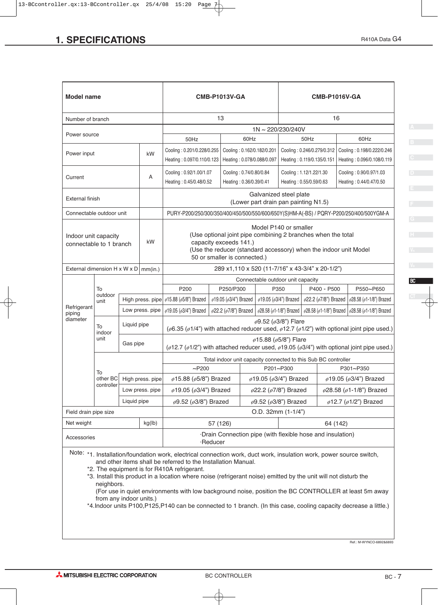| <b>SPECIFICATIONS</b>                                                                                                                                                                                                           |                                             |             |                  |                                                                                                                      |                                                                                                                                                                                     |                                      |                                                                                                                                                                                                                                                          |                                                                           |                                                                                    | R410A Data G4 |  |  |
|---------------------------------------------------------------------------------------------------------------------------------------------------------------------------------------------------------------------------------|---------------------------------------------|-------------|------------------|----------------------------------------------------------------------------------------------------------------------|-------------------------------------------------------------------------------------------------------------------------------------------------------------------------------------|--------------------------------------|----------------------------------------------------------------------------------------------------------------------------------------------------------------------------------------------------------------------------------------------------------|---------------------------------------------------------------------------|------------------------------------------------------------------------------------|---------------|--|--|
|                                                                                                                                                                                                                                 |                                             |             |                  |                                                                                                                      |                                                                                                                                                                                     |                                      |                                                                                                                                                                                                                                                          |                                                                           |                                                                                    |               |  |  |
|                                                                                                                                                                                                                                 |                                             |             |                  |                                                                                                                      |                                                                                                                                                                                     |                                      |                                                                                                                                                                                                                                                          |                                                                           |                                                                                    |               |  |  |
|                                                                                                                                                                                                                                 |                                             |             |                  |                                                                                                                      |                                                                                                                                                                                     |                                      |                                                                                                                                                                                                                                                          |                                                                           |                                                                                    |               |  |  |
| <b>Model name</b>                                                                                                                                                                                                               |                                             |             |                  | <b>CMB-P1013V-GA</b>                                                                                                 | <b>CMB-P1016V-GA</b>                                                                                                                                                                |                                      |                                                                                                                                                                                                                                                          |                                                                           |                                                                                    |               |  |  |
| Number of branch                                                                                                                                                                                                                |                                             |             |                  |                                                                                                                      | 13                                                                                                                                                                                  |                                      |                                                                                                                                                                                                                                                          |                                                                           | 16                                                                                 |               |  |  |
| Power source                                                                                                                                                                                                                    |                                             |             |                  | 50Hz                                                                                                                 |                                                                                                                                                                                     | 60Hz                                 | 1N~220/230/240V                                                                                                                                                                                                                                          | 60Hz<br>50Hz                                                              |                                                                                    |               |  |  |
| Power input                                                                                                                                                                                                                     |                                             |             | kW               | Cooling: 0.201/0.228/0.255 Cooling: 0.162/0.182/0.201                                                                |                                                                                                                                                                                     |                                      |                                                                                                                                                                                                                                                          |                                                                           | Cooling: 0.246/0.279/0.312 Cooling: 0.198/0.222/0.246                              |               |  |  |
|                                                                                                                                                                                                                                 |                                             |             |                  | Heating: 0.097/0.110/0.123   Heating: 0.078/0.088/0.097<br>Cooling: 0.92/1.00/1.07                                   |                                                                                                                                                                                     | Cooling: 0.74/0.80/0.84              | Cooling: 1.12/1.22/1.30                                                                                                                                                                                                                                  |                                                                           | Heating: 0.119/0.135/0.151   Heating: 0.096/0.108/0.119<br>Cooling: 0.90/0.97/1.03 |               |  |  |
| Current                                                                                                                                                                                                                         |                                             |             | A                | Heating: 0.45/0.48/0.52                                                                                              |                                                                                                                                                                                     | Heating: 0.36/0.39/0.41              | Heating: 0.55/0.59/0.63                                                                                                                                                                                                                                  |                                                                           | Heating: 0.44/0.47/0.50                                                            |               |  |  |
| <b>External finish</b>                                                                                                                                                                                                          |                                             |             |                  |                                                                                                                      |                                                                                                                                                                                     | (Lower part drain pan painting N1.5) | Galvanized steel plate                                                                                                                                                                                                                                   |                                                                           |                                                                                    |               |  |  |
| Connectable outdoor unit                                                                                                                                                                                                        |                                             |             |                  | PURY-P200/250/300/350/400/450/500/550/600/650Y(S)HM-A(-BS) / PQRY-P200/250/400/500YGM-A                              |                                                                                                                                                                                     |                                      |                                                                                                                                                                                                                                                          |                                                                           |                                                                                    |               |  |  |
| Indoor unit capacity                                                                                                                                                                                                            |                                             |             |                  |                                                                                                                      | Model P140 or smaller<br>(Use optional joint pipe combining 2 branches when the total<br>capacity exceeds 141.)<br>(Use the reducer (standard accessory) when the indoor unit Model |                                      |                                                                                                                                                                                                                                                          |                                                                           |                                                                                    |               |  |  |
| connectable to 1 branch                                                                                                                                                                                                         |                                             |             | kW               |                                                                                                                      |                                                                                                                                                                                     |                                      |                                                                                                                                                                                                                                                          |                                                                           |                                                                                    |               |  |  |
| External dimension H x W x D   mm(in.)                                                                                                                                                                                          |                                             |             |                  |                                                                                                                      | 50 or smaller is connected.)                                                                                                                                                        |                                      |                                                                                                                                                                                                                                                          |                                                                           | 289 x1,110 x 520 (11-7/16" x 43-3/4" x 20-1/2")                                    |               |  |  |
|                                                                                                                                                                                                                                 |                                             |             |                  |                                                                                                                      |                                                                                                                                                                                     | Connectable outdoor unit capacity    |                                                                                                                                                                                                                                                          |                                                                           |                                                                                    |               |  |  |
|                                                                                                                                                                                                                                 | To<br>outdoor                               |             |                  | P200<br>High press. pipe $\int$ $\phi$ 15.88 ( $\phi$ 5/8") Brazed                                                   | P250/P300                                                                                                                                                                           |                                      | P350                                                                                                                                                                                                                                                     | P400 - P500                                                               |                                                                                    | P550~P650     |  |  |
| Refrigerant<br>piping                                                                                                                                                                                                           | unit                                        |             | Low press. pipe  | $\sigma$ 19.05 ( $\sigma$ 3/4") Brazed                                                                               |                                                                                                                                                                                     |                                      | $\phi$ 19.05 ( $\phi$ 3/4") Brazed   $\phi$ 19.05 ( $\phi$ 3/4") Brazed   $\phi$ 22.2 ( $\phi$ 7/8") Brazed   $\phi$ 28.58 ( $\phi$ 1-1/8") Brazed<br>φ22.2 (φ7/8") Brazed   φ28.58 (φ1-1/8") Brazed   φ28.58 (φ1-1/8") Brazed   φ28.58 (φ1-1/8") Brazed |                                                                           |                                                                                    |               |  |  |
| diameter                                                                                                                                                                                                                        | To                                          | Liquid pipe |                  | ( $\phi$ 6.35 ( $\phi$ 1/4") with attached reducer used, $\phi$ 12.7 ( $\phi$ 1/2") with optional joint pipe used.)  |                                                                                                                                                                                     |                                      | $\phi$ 9.52 ( $\phi$ 3/8") Flare                                                                                                                                                                                                                         |                                                                           |                                                                                    |               |  |  |
|                                                                                                                                                                                                                                 | indoor<br>unit                              | Gas pipe    |                  | ( $\phi$ 12.7 ( $\phi$ 1/2") with attached reducer used, $\phi$ 19.05 ( $\phi$ 3/4") with optional joint pipe used.) |                                                                                                                                                                                     |                                      | $\phi$ 15.88 ( $\phi$ 5/8") Flare                                                                                                                                                                                                                        |                                                                           |                                                                                    |               |  |  |
|                                                                                                                                                                                                                                 |                                             |             |                  |                                                                                                                      | Total indoor unit capacity connected to this Sub BC controller                                                                                                                      |                                      |                                                                                                                                                                                                                                                          |                                                                           |                                                                                    |               |  |  |
|                                                                                                                                                                                                                                 | other BC                                    |             | High press. pipe | $\sim$ P200<br>ø15.88 (ø5/8") Brazed                                                                                 |                                                                                                                                                                                     |                                      | P201~P300<br>ø19.05 (ø3/4") Brazed                                                                                                                                                                                                                       |                                                                           | P301~P350<br>$\phi$ 19.05 ( $\phi$ 3/4") Brazed                                    |               |  |  |
|                                                                                                                                                                                                                                 | controller                                  |             | Low press. pipe  | $\phi$ 19.05 ( $\phi$ 3/4") Brazed                                                                                   |                                                                                                                                                                                     |                                      | $\phi$ 22.2 ( $\phi$ 7/8") Brazed                                                                                                                                                                                                                        |                                                                           |                                                                                    |               |  |  |
|                                                                                                                                                                                                                                 |                                             | Liquid pipe |                  | $\phi$ 9.52 ( $\phi$ 3/8") Brazed                                                                                    |                                                                                                                                                                                     |                                      | $\phi$ 9.52 ( $\phi$ 3/8") Brazed                                                                                                                                                                                                                        | $\phi$ 28.58 ( $\phi$ 1-1/8") Brazed<br>$\phi$ 12.7 ( $\phi$ 1/2") Brazed |                                                                                    |               |  |  |
|                                                                                                                                                                                                                                 | O.D. 32mm (1-1/4")<br>Field drain pipe size |             |                  |                                                                                                                      |                                                                                                                                                                                     |                                      |                                                                                                                                                                                                                                                          |                                                                           |                                                                                    |               |  |  |
| Net weight                                                                                                                                                                                                                      |                                             |             | kg(lb)           |                                                                                                                      | 57 (126)<br>·Drain Connection pipe (with flexible hose and insulation)                                                                                                              |                                      |                                                                                                                                                                                                                                                          |                                                                           | 64 (142)                                                                           |               |  |  |
| Accessories                                                                                                                                                                                                                     |                                             |             |                  |                                                                                                                      | ·Reducer                                                                                                                                                                            |                                      |                                                                                                                                                                                                                                                          |                                                                           |                                                                                    |               |  |  |
|                                                                                                                                                                                                                                 |                                             |             |                  | Note: *1. Installation/foundation work, electrical connection work, duct work, insulation work, power source switch, |                                                                                                                                                                                     |                                      |                                                                                                                                                                                                                                                          |                                                                           |                                                                                    |               |  |  |
| and other items shall be referred to the Installation Manual.<br>*2. The equipment is for R410A refrigerant.<br>*3. Install this product in a location where noise (refrigerant noise) emitted by the unit will not disturb the |                                             |             |                  |                                                                                                                      |                                                                                                                                                                                     |                                      |                                                                                                                                                                                                                                                          |                                                                           |                                                                                    |               |  |  |
|                                                                                                                                                                                                                                 |                                             |             |                  |                                                                                                                      |                                                                                                                                                                                     |                                      |                                                                                                                                                                                                                                                          |                                                                           |                                                                                    |               |  |  |
|                                                                                                                                                                                                                                 | neighbors.<br>from any indoor units.)       |             |                  | (For use in quiet environments with low background noise, position the BC CONTROLLER at least 5m away                |                                                                                                                                                                                     |                                      |                                                                                                                                                                                                                                                          |                                                                           |                                                                                    |               |  |  |

Ref.: M-WYNCO-6892&6893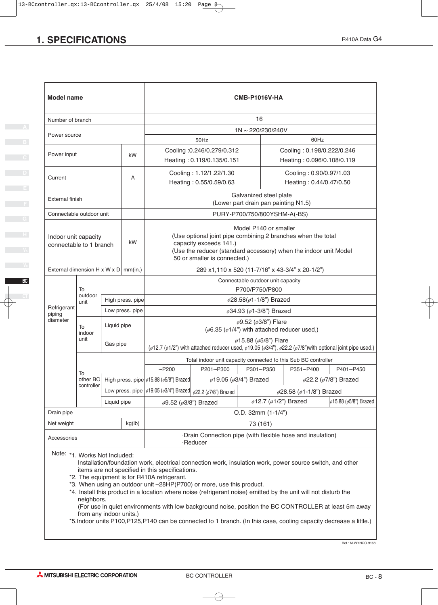| <b>Model name</b>                                     |                                                                                                               |                                                                                                                            |                  |                                                                                                                                                                                                                                                                                                                                                                                                                                                                                                                  |                                                                                                                                                                                       | <b>CMB-P1016V-HA</b>                                                                          |                                      |                                   |  |  |
|-------------------------------------------------------|---------------------------------------------------------------------------------------------------------------|----------------------------------------------------------------------------------------------------------------------------|------------------|------------------------------------------------------------------------------------------------------------------------------------------------------------------------------------------------------------------------------------------------------------------------------------------------------------------------------------------------------------------------------------------------------------------------------------------------------------------------------------------------------------------|---------------------------------------------------------------------------------------------------------------------------------------------------------------------------------------|-----------------------------------------------------------------------------------------------|--------------------------------------|-----------------------------------|--|--|
| Number of branch                                      |                                                                                                               |                                                                                                                            |                  |                                                                                                                                                                                                                                                                                                                                                                                                                                                                                                                  |                                                                                                                                                                                       | 16                                                                                            |                                      |                                   |  |  |
| Power source                                          |                                                                                                               |                                                                                                                            |                  |                                                                                                                                                                                                                                                                                                                                                                                                                                                                                                                  |                                                                                                                                                                                       | 1N~220/230/240V                                                                               |                                      |                                   |  |  |
|                                                       |                                                                                                               |                                                                                                                            |                  |                                                                                                                                                                                                                                                                                                                                                                                                                                                                                                                  | 50Hz                                                                                                                                                                                  |                                                                                               | 60Hz                                 |                                   |  |  |
| Power input                                           |                                                                                                               | Cooling :0.246/0.279/0.312<br>Cooling: 0.198/0.222/0.246<br>kW<br>Heating: 0.119/0.135/0.151<br>Heating: 0.096/0.108/0.119 |                  |                                                                                                                                                                                                                                                                                                                                                                                                                                                                                                                  |                                                                                                                                                                                       |                                                                                               |                                      |                                   |  |  |
| Current                                               | Cooling: 1.12/1.22/1.30<br>Cooling: 0.90/0.97/1.03<br>A<br>Heating: 0.55/0.59/0.63<br>Heating: 0.44/0.47/0.50 |                                                                                                                            |                  |                                                                                                                                                                                                                                                                                                                                                                                                                                                                                                                  |                                                                                                                                                                                       |                                                                                               |                                      |                                   |  |  |
|                                                       | Galvanized steel plate<br>External finish<br>(Lower part drain pan painting N1.5)                             |                                                                                                                            |                  |                                                                                                                                                                                                                                                                                                                                                                                                                                                                                                                  |                                                                                                                                                                                       |                                                                                               |                                      |                                   |  |  |
| Connectable outdoor unit                              |                                                                                                               |                                                                                                                            |                  |                                                                                                                                                                                                                                                                                                                                                                                                                                                                                                                  |                                                                                                                                                                                       | PURY-P700/750/800YSHM-A(-BS)                                                                  |                                      |                                   |  |  |
| Indoor unit capacity<br>kW<br>connectable to 1 branch |                                                                                                               |                                                                                                                            |                  | Model P140 or smaller<br>(Use optional joint pipe combining 2 branches when the total<br>capacity exceeds 141.)<br>(Use the reducer (standard accessory) when the indoor unit Model<br>50 or smaller is connected.)                                                                                                                                                                                                                                                                                              |                                                                                                                                                                                       |                                                                                               |                                      |                                   |  |  |
|                                                       | External dimension H x W x D   mm(in.)<br>289 x1,110 x 520 (11-7/16" x 43-3/4" x 20-1/2")                     |                                                                                                                            |                  |                                                                                                                                                                                                                                                                                                                                                                                                                                                                                                                  |                                                                                                                                                                                       |                                                                                               |                                      |                                   |  |  |
|                                                       |                                                                                                               |                                                                                                                            |                  | Connectable outdoor unit capacity                                                                                                                                                                                                                                                                                                                                                                                                                                                                                |                                                                                                                                                                                       |                                                                                               |                                      |                                   |  |  |
|                                                       | To<br>outdoor                                                                                                 |                                                                                                                            |                  |                                                                                                                                                                                                                                                                                                                                                                                                                                                                                                                  |                                                                                                                                                                                       | P700/P750/P800                                                                                |                                      |                                   |  |  |
|                                                       | unit                                                                                                          |                                                                                                                            | High press. pipe |                                                                                                                                                                                                                                                                                                                                                                                                                                                                                                                  | $\phi$ 28.58( $\phi$ 1-1/8") Brazed                                                                                                                                                   |                                                                                               |                                      |                                   |  |  |
| Refrigerant<br>piping                                 |                                                                                                               |                                                                                                                            | Low press. pipe  |                                                                                                                                                                                                                                                                                                                                                                                                                                                                                                                  | ø34.93 (ø1-3/8") Brazed                                                                                                                                                               |                                                                                               |                                      |                                   |  |  |
| diameter                                              | To<br>indoor                                                                                                  | Liquid pipe                                                                                                                |                  |                                                                                                                                                                                                                                                                                                                                                                                                                                                                                                                  |                                                                                                                                                                                       | $\phi$ 9.52 ( $\phi$ 3/8") Flare<br>( $\phi$ 6.35 ( $\phi$ 1/4") with attached reducer used,) |                                      |                                   |  |  |
|                                                       | unit                                                                                                          | Gas pipe                                                                                                                   |                  |                                                                                                                                                                                                                                                                                                                                                                                                                                                                                                                  | $\phi$ 15.88 ( $\phi$ 5/8") Flare<br>( $\phi$ 12.7 ( $\phi$ 1/2") with attached reducer used, $\phi$ 19.05 ( $\phi$ 3/4"), $\phi$ 22.2 ( $\phi$ 7/8") with optional joint pipe used.) |                                                                                               |                                      |                                   |  |  |
|                                                       |                                                                                                               |                                                                                                                            |                  |                                                                                                                                                                                                                                                                                                                                                                                                                                                                                                                  |                                                                                                                                                                                       | Total indoor unit capacity connected to this Sub BC controller                                |                                      |                                   |  |  |
|                                                       |                                                                                                               |                                                                                                                            |                  | $~\sim$ P200                                                                                                                                                                                                                                                                                                                                                                                                                                                                                                     | P201~P300                                                                                                                                                                             | P301~P350                                                                                     | P351~P400                            | P401~P450                         |  |  |
|                                                       | To                                                                                                            |                                                                                                                            |                  | other BC High press. pipe $\phi$ 15.88 ( $\phi$ 5/8") Brazed                                                                                                                                                                                                                                                                                                                                                                                                                                                     |                                                                                                                                                                                       | ø19.05 (ø3/4") Brazed                                                                         |                                      | $\phi$ 22.2 ( $\phi$ 7/8") Brazed |  |  |
|                                                       | controller                                                                                                    |                                                                                                                            |                  | Low press. pipe $ \phi19.05 \left(\phi3/4\right)\rangle$ Brazed $ \phi22.2 \left(\phi7/8\right)\rangle$ Brazed                                                                                                                                                                                                                                                                                                                                                                                                   |                                                                                                                                                                                       |                                                                                               | $\phi$ 28.58 ( $\phi$ 1-1/8") Brazed |                                   |  |  |
|                                                       |                                                                                                               | Liquid pipe                                                                                                                |                  | $\phi$ 9.52 ( $\phi$ 3/8") Brazed                                                                                                                                                                                                                                                                                                                                                                                                                                                                                |                                                                                                                                                                                       | $\phi$ 12.7 ( $\phi$ 1/2") Brazed                                                             |                                      | ø15.88 (ø5/8") Brazed             |  |  |
| Drain pipe                                            |                                                                                                               |                                                                                                                            |                  |                                                                                                                                                                                                                                                                                                                                                                                                                                                                                                                  |                                                                                                                                                                                       | $O.D. 32mm (1-1/4")$                                                                          |                                      |                                   |  |  |
| Net weight                                            | kg(lb)<br>73 (161)                                                                                            |                                                                                                                            |                  |                                                                                                                                                                                                                                                                                                                                                                                                                                                                                                                  |                                                                                                                                                                                       |                                                                                               |                                      |                                   |  |  |
|                                                       | ·Drain Connection pipe (with flexible hose and insulation)<br>Accessories<br>·Reducer                         |                                                                                                                            |                  |                                                                                                                                                                                                                                                                                                                                                                                                                                                                                                                  |                                                                                                                                                                                       |                                                                                               |                                      |                                   |  |  |
|                                                       | Note: *1. Works Not Included:<br>neighbors.                                                                   |                                                                                                                            |                  | Installation/foundation work, electrical connection work, insulation work, power source switch, and other<br>items are not specified in this specifications.<br>*2. The equipment is for R410A refrigerant.<br>*3. When using an outdoor unit -28HP(P700) or more, use this product.<br>*4. Install this product in a location where noise (refrigerant noise) emitted by the unit will not disturb the<br>(For use in quiet environments with low background noise, position the BC CONTROLLER at least 5m away |                                                                                                                                                                                       |                                                                                               |                                      |                                   |  |  |

 from any indoor units.) \*5.Indoor units P100,P125,P140 can be connected to 1 branch. (In this case, cooling capacity decrease a little.)

Ref.: M-WYNCO-9168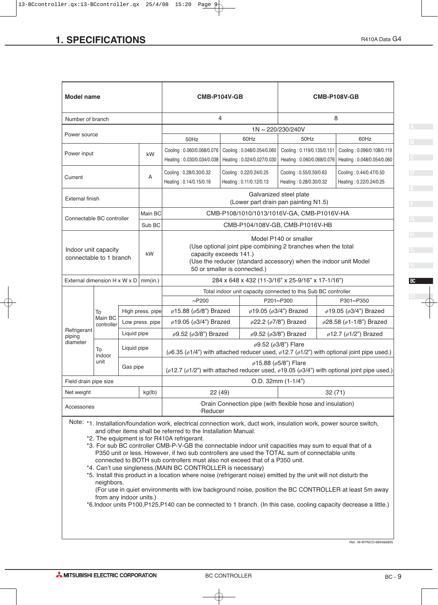| <b>SPECIFICATIONS</b>                  |                       |             |                   |                                                                                                                                                                                                                                                                                  |                                                                                                  |                                                    | R410A Data G4                                                                                                   |  |  |
|----------------------------------------|-----------------------|-------------|-------------------|----------------------------------------------------------------------------------------------------------------------------------------------------------------------------------------------------------------------------------------------------------------------------------|--------------------------------------------------------------------------------------------------|----------------------------------------------------|-----------------------------------------------------------------------------------------------------------------|--|--|
|                                        |                       |             |                   |                                                                                                                                                                                                                                                                                  |                                                                                                  |                                                    |                                                                                                                 |  |  |
|                                        |                       |             |                   |                                                                                                                                                                                                                                                                                  |                                                                                                  |                                                    |                                                                                                                 |  |  |
|                                        |                       |             |                   |                                                                                                                                                                                                                                                                                  |                                                                                                  |                                                    |                                                                                                                 |  |  |
| <b>Model name</b>                      |                       |             |                   | CMB-P104V-GB                                                                                                                                                                                                                                                                     |                                                                                                  |                                                    | <b>CMB-P108V-GB</b>                                                                                             |  |  |
|                                        |                       |             |                   |                                                                                                                                                                                                                                                                                  |                                                                                                  |                                                    |                                                                                                                 |  |  |
| Number of branch                       |                       |             |                   |                                                                                                                                                                                                                                                                                  | 4                                                                                                | 1N~220/230/240V                                    | 8                                                                                                               |  |  |
| Power source                           |                       |             |                   | 50Hz                                                                                                                                                                                                                                                                             | 60Hz                                                                                             | 50Hz                                               | 60Hz                                                                                                            |  |  |
| Power input                            |                       |             | kW                |                                                                                                                                                                                                                                                                                  | Cooling: 0.060/0.068/0.076   Cooling: 0.048/0.054/0.060                                          | Cooling: 0.119/0.135/0.151                         | Cooling: 0.096/0.108/0.119                                                                                      |  |  |
|                                        |                       |             |                   |                                                                                                                                                                                                                                                                                  | Heating: 0.030/0.034/0.038   Heating: 0.024/0.027/0.030                                          | Heating: 0.060/0.068/0.076                         | Heating: 0.048/0.054/0.060                                                                                      |  |  |
| Current                                |                       |             | A                 | Cooling: 0.28/0.30/0.32<br>Heating: 0.14/0.15/0.16                                                                                                                                                                                                                               | Cooling: 0.22/0.24/0.25<br>Heating: 0.11/0.12/0.13                                               | Cooling: 0.55/0.59/0.63<br>Heating: 0.28/0.30/0.32 | Cooling: 0.44/0.47/0.50<br>Heating: 0.22/0.24/0.25                                                              |  |  |
| <b>External finish</b>                 |                       |             |                   |                                                                                                                                                                                                                                                                                  |                                                                                                  | Galvanized steel plate                             |                                                                                                                 |  |  |
|                                        |                       |             |                   |                                                                                                                                                                                                                                                                                  | (Lower part drain pan painting N1.5)                                                             |                                                    |                                                                                                                 |  |  |
| Connectable BC controller              |                       |             | Main BC<br>Sub BC |                                                                                                                                                                                                                                                                                  | CMB-P108/1010/1013/1016V-GA, CMB-P1016V-HA<br>CMB-P104/108V-GB, CMB-P1016V-HB                    |                                                    |                                                                                                                 |  |  |
|                                        |                       |             |                   |                                                                                                                                                                                                                                                                                  |                                                                                                  | Model P140 or smaller                              |                                                                                                                 |  |  |
| Indoor unit capacity                   |                       |             | kW                |                                                                                                                                                                                                                                                                                  | (Use optional joint pipe combining 2 branches when the total<br>capacity exceeds 141.)           |                                                    |                                                                                                                 |  |  |
| connectable to 1 branch                |                       |             |                   |                                                                                                                                                                                                                                                                                  | (Use the reducer (standard accessory) when the indoor unit Model<br>50 or smaller is connected.) |                                                    |                                                                                                                 |  |  |
| External dimension H x W x D   mm(in.) |                       |             |                   |                                                                                                                                                                                                                                                                                  | 284 x 648 x 432 (11-3/16" x 25-9/16" x 17-1/16")                                                 |                                                    |                                                                                                                 |  |  |
|                                        |                       |             |                   |                                                                                                                                                                                                                                                                                  | Total indoor unit capacity connected to this Sub BC controller                                   |                                                    |                                                                                                                 |  |  |
|                                        | To                    |             | High press. pipe  | $~\sim$ P200<br>ø15.88 (ø5/8") Brazed                                                                                                                                                                                                                                            |                                                                                                  | P201~P300<br>$\phi$ 19.05 ( $\phi$ 3/4") Brazed    | P301~P350<br>$\phi$ 19.05 ( $\phi$ 3/4") Brazed                                                                 |  |  |
|                                        | Main BC<br>controller |             | Low press. pipe   | ø19.05 (ø3/4") Brazed                                                                                                                                                                                                                                                            |                                                                                                  | $\phi$ 22.2 ( $\phi$ 7/8") Brazed                  | ø28.58 (ø1-1/8") Brazed                                                                                         |  |  |
| Refrigerant<br>piping                  |                       | Liquid pipe |                   | $\phi$ 9.52 ( $\phi$ 3/8") Brazed                                                                                                                                                                                                                                                |                                                                                                  | $\phi$ 9.52 ( $\phi$ 3/8") Brazed                  | $\phi$ 12.7 ( $\phi$ 1/2") Brazed                                                                               |  |  |
| diameter                               | To                    | Liquid pipe |                   |                                                                                                                                                                                                                                                                                  |                                                                                                  | $\phi$ 9.52 ( $\phi$ 3/8") Flare                   |                                                                                                                 |  |  |
|                                        | indoor<br>unit        | Gas pipe    |                   | ( $\phi$ 6.35 ( $\phi$ 1/4") with attached reducer used, $\phi$ 12.7 ( $\phi$ 1/2") with optional joint pipe used.)<br>$\phi$ 15.88 ( $\phi$ 5/8") Flare<br>( $\phi$ 12.7 ( $\phi$ 1/2") with attached reducer used, $\phi$ 19.05 ( $\phi$ 3/4") with optional joint pipe used.) |                                                                                                  |                                                    |                                                                                                                 |  |  |
| Field drain pipe size                  |                       |             |                   |                                                                                                                                                                                                                                                                                  |                                                                                                  | O.D. 32mm (1-1/4")                                 |                                                                                                                 |  |  |
| Net weight                             |                       |             | kg(lb)            | 22(49)                                                                                                                                                                                                                                                                           |                                                                                                  |                                                    | 32(71)                                                                                                          |  |  |
| Accessories                            |                       |             |                   | ·Reducer                                                                                                                                                                                                                                                                         | ·Drain Connection pipe (with flexible hose and insulation)                                       |                                                    |                                                                                                                 |  |  |
|                                        |                       |             |                   | Note: *1. Installation/foundation work, electrical connection work, duct work, insulation work, power source switch,                                                                                                                                                             |                                                                                                  |                                                    |                                                                                                                 |  |  |
|                                        |                       |             |                   | and other items shall be referred to the Installation Manual.<br>*2. The equipment is for R410A refrigerant.                                                                                                                                                                     |                                                                                                  |                                                    |                                                                                                                 |  |  |
|                                        |                       |             |                   | *3. For sub BC controller CMB-P-V-GB the connectable indoor unit capacities may sum to equal that of a                                                                                                                                                                           |                                                                                                  |                                                    |                                                                                                                 |  |  |
|                                        |                       |             |                   | P350 unit or less. However, if two sub controllers are used the TOTAL sum of connectable units<br>connected to BOTH sub controllers must also not exceed that of a P350 unit.                                                                                                    |                                                                                                  |                                                    |                                                                                                                 |  |  |
|                                        |                       |             |                   | *4. Can't use singleness.(MAIN BC CONTROLLER is necessary)                                                                                                                                                                                                                       |                                                                                                  |                                                    | *5. Install this product in a location where noise (refrigerant noise) emitted by the unit will not disturb the |  |  |

\*5. Install this product in a location where noise (refrigerant noise) emitted by the unit will not disturb the neighbors.

 (For use in quiet environments with low background noise, position the BC CONTROLLER at least 5m away from any indoor units.)

\*6.Indoor units P100,P125,P140 can be connected to 1 branch. (In this case, cooling capacity decrease a little.)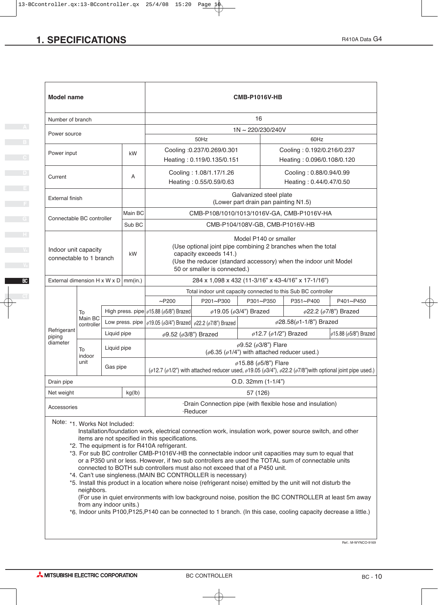| <b>SPECIFICATIONS</b>                                                                                                                                                                                                                                                                                                                                                                                                                                                                                                                                                                                                                                                                                                                                                                                                                                                                                                                                                                                            |                                                                                          |                                                     |         |                                                                                                                                                                                                                                                    |                                                                                                                                                                                                                     |                                                                                                                |                                                                             | R410A Data G4 |  |  |  |
|------------------------------------------------------------------------------------------------------------------------------------------------------------------------------------------------------------------------------------------------------------------------------------------------------------------------------------------------------------------------------------------------------------------------------------------------------------------------------------------------------------------------------------------------------------------------------------------------------------------------------------------------------------------------------------------------------------------------------------------------------------------------------------------------------------------------------------------------------------------------------------------------------------------------------------------------------------------------------------------------------------------|------------------------------------------------------------------------------------------|-----------------------------------------------------|---------|----------------------------------------------------------------------------------------------------------------------------------------------------------------------------------------------------------------------------------------------------|---------------------------------------------------------------------------------------------------------------------------------------------------------------------------------------------------------------------|----------------------------------------------------------------------------------------------------------------|-----------------------------------------------------------------------------|---------------|--|--|--|
|                                                                                                                                                                                                                                                                                                                                                                                                                                                                                                                                                                                                                                                                                                                                                                                                                                                                                                                                                                                                                  |                                                                                          |                                                     |         |                                                                                                                                                                                                                                                    |                                                                                                                                                                                                                     |                                                                                                                |                                                                             |               |  |  |  |
| <b>Model name</b>                                                                                                                                                                                                                                                                                                                                                                                                                                                                                                                                                                                                                                                                                                                                                                                                                                                                                                                                                                                                |                                                                                          |                                                     |         |                                                                                                                                                                                                                                                    |                                                                                                                                                                                                                     | <b>CMB-P1016V-HB</b>                                                                                           |                                                                             |               |  |  |  |
| 16<br>Number of branch                                                                                                                                                                                                                                                                                                                                                                                                                                                                                                                                                                                                                                                                                                                                                                                                                                                                                                                                                                                           |                                                                                          |                                                     |         |                                                                                                                                                                                                                                                    |                                                                                                                                                                                                                     |                                                                                                                |                                                                             |               |  |  |  |
| Power source                                                                                                                                                                                                                                                                                                                                                                                                                                                                                                                                                                                                                                                                                                                                                                                                                                                                                                                                                                                                     | 1N~220/230/240V                                                                          |                                                     |         |                                                                                                                                                                                                                                                    |                                                                                                                                                                                                                     |                                                                                                                |                                                                             |               |  |  |  |
|                                                                                                                                                                                                                                                                                                                                                                                                                                                                                                                                                                                                                                                                                                                                                                                                                                                                                                                                                                                                                  |                                                                                          |                                                     |         |                                                                                                                                                                                                                                                    | 50Hz                                                                                                                                                                                                                |                                                                                                                | 60Hz                                                                        |               |  |  |  |
| Power input                                                                                                                                                                                                                                                                                                                                                                                                                                                                                                                                                                                                                                                                                                                                                                                                                                                                                                                                                                                                      | Cooling :0.237/0.269/0.301<br>kW<br>Heating: 0.119/0.135/0.151                           |                                                     |         |                                                                                                                                                                                                                                                    | Cooling: 0.192/0.216/0.237<br>Heating: 0.096/0.108/0.120                                                                                                                                                            |                                                                                                                |                                                                             |               |  |  |  |
| Current                                                                                                                                                                                                                                                                                                                                                                                                                                                                                                                                                                                                                                                                                                                                                                                                                                                                                                                                                                                                          | Cooling: 1.08/1.17/1.26<br>A<br>Heating: 0.55/0.59/0.63                                  |                                                     |         |                                                                                                                                                                                                                                                    | Cooling: 0.88/0.94/0.99<br>Heating: 0.44/0.47/0.50                                                                                                                                                                  |                                                                                                                |                                                                             |               |  |  |  |
|                                                                                                                                                                                                                                                                                                                                                                                                                                                                                                                                                                                                                                                                                                                                                                                                                                                                                                                                                                                                                  | Galvanized steel plate<br><b>External finish</b><br>(Lower part drain pan painting N1.5) |                                                     |         |                                                                                                                                                                                                                                                    |                                                                                                                                                                                                                     |                                                                                                                |                                                                             |               |  |  |  |
|                                                                                                                                                                                                                                                                                                                                                                                                                                                                                                                                                                                                                                                                                                                                                                                                                                                                                                                                                                                                                  |                                                                                          |                                                     | Main BC | CMB-P108/1010/1013/1016V-GA, CMB-P1016V-HA                                                                                                                                                                                                         |                                                                                                                                                                                                                     |                                                                                                                |                                                                             |               |  |  |  |
|                                                                                                                                                                                                                                                                                                                                                                                                                                                                                                                                                                                                                                                                                                                                                                                                                                                                                                                                                                                                                  | Connectable BC controller<br>Sub BC                                                      |                                                     |         | CMB-P104/108V-GB, CMB-P1016V-HB                                                                                                                                                                                                                    |                                                                                                                                                                                                                     |                                                                                                                |                                                                             |               |  |  |  |
| Indoor unit capacity<br>kW<br>connectable to 1 branch                                                                                                                                                                                                                                                                                                                                                                                                                                                                                                                                                                                                                                                                                                                                                                                                                                                                                                                                                            |                                                                                          |                                                     |         |                                                                                                                                                                                                                                                    | Model P140 or smaller<br>(Use optional joint pipe combining 2 branches when the total<br>capacity exceeds 141.)<br>(Use the reducer (standard accessory) when the indoor unit Model<br>50 or smaller is connected.) |                                                                                                                |                                                                             |               |  |  |  |
| External dimension H x W x D   mm(in.)                                                                                                                                                                                                                                                                                                                                                                                                                                                                                                                                                                                                                                                                                                                                                                                                                                                                                                                                                                           |                                                                                          |                                                     |         |                                                                                                                                                                                                                                                    |                                                                                                                                                                                                                     | 284 x 1,098 x 432 (11-3/16" x 43-4/16" x 17-1/16")                                                             |                                                                             |               |  |  |  |
|                                                                                                                                                                                                                                                                                                                                                                                                                                                                                                                                                                                                                                                                                                                                                                                                                                                                                                                                                                                                                  |                                                                                          |                                                     |         |                                                                                                                                                                                                                                                    |                                                                                                                                                                                                                     |                                                                                                                | Total indoor unit capacity connected to this Sub BC controller<br>P351~P400 |               |  |  |  |
|                                                                                                                                                                                                                                                                                                                                                                                                                                                                                                                                                                                                                                                                                                                                                                                                                                                                                                                                                                                                                  |                                                                                          |                                                     |         | $~\sim$ P200                                                                                                                                                                                                                                       | P201~P300                                                                                                                                                                                                           | P301~P350                                                                                                      | P401~P450                                                                   |               |  |  |  |
|                                                                                                                                                                                                                                                                                                                                                                                                                                                                                                                                                                                                                                                                                                                                                                                                                                                                                                                                                                                                                  | To<br>Main BC                                                                            | High press. pipe $  \phi 15.88 \ (\phi 5/8)$ Brazed |         | Low press. pipe $  \phi$ 19.05 ( $\phi$ 3/4") Brazed $  \phi$ 22.2 ( $\phi$ 7/8") Brazed                                                                                                                                                           |                                                                                                                                                                                                                     | $\phi$ 19.05 ( $\phi$ 3/4") Brazed<br>$\phi$ 22.2 ( $\phi$ 7/8") Brazed<br>$\phi$ 28.58( $\phi$ 1-1/8") Brazed |                                                                             |               |  |  |  |
| Refrigerant                                                                                                                                                                                                                                                                                                                                                                                                                                                                                                                                                                                                                                                                                                                                                                                                                                                                                                                                                                                                      | controller                                                                               | Liquid pipe                                         |         | $\phi$ 9.52 ( $\phi$ 3/8") Brazed                                                                                                                                                                                                                  |                                                                                                                                                                                                                     | $\phi$ 12.7 ( $\phi$ 1/2") Brazed                                                                              | $\phi$ 15.88 ( $\phi$ 5/8") Brazed                                          |               |  |  |  |
| piping<br>diameter                                                                                                                                                                                                                                                                                                                                                                                                                                                                                                                                                                                                                                                                                                                                                                                                                                                                                                                                                                                               | To                                                                                       | Liquid pipe                                         |         |                                                                                                                                                                                                                                                    |                                                                                                                                                                                                                     | $\phi$ 9.52 ( $\phi$ 3/8") Flare                                                                               |                                                                             |               |  |  |  |
|                                                                                                                                                                                                                                                                                                                                                                                                                                                                                                                                                                                                                                                                                                                                                                                                                                                                                                                                                                                                                  | indoor<br>unit                                                                           | Gas pipe                                            |         | ( $\phi$ 6.35 ( $\phi$ 1/4") with attached reducer used.)<br>$\phi$ 15.88 ( $\phi$ 5/8") Flare<br>( $\phi$ 12.7 ( $\phi$ 1/2") with attached reducer used, $\phi$ 19.05 ( $\phi$ 3/4"), $\phi$ 22.2 ( $\phi$ 7/8") with optional joint pipe used.) |                                                                                                                                                                                                                     |                                                                                                                |                                                                             |               |  |  |  |
| Drain pipe                                                                                                                                                                                                                                                                                                                                                                                                                                                                                                                                                                                                                                                                                                                                                                                                                                                                                                                                                                                                       |                                                                                          |                                                     |         |                                                                                                                                                                                                                                                    |                                                                                                                                                                                                                     | $O.D. 32mm (1-1/4")$                                                                                           |                                                                             |               |  |  |  |
| Net weight                                                                                                                                                                                                                                                                                                                                                                                                                                                                                                                                                                                                                                                                                                                                                                                                                                                                                                                                                                                                       |                                                                                          |                                                     | kg(lb)  |                                                                                                                                                                                                                                                    |                                                                                                                                                                                                                     | 57 (126)                                                                                                       |                                                                             |               |  |  |  |
| Accessories                                                                                                                                                                                                                                                                                                                                                                                                                                                                                                                                                                                                                                                                                                                                                                                                                                                                                                                                                                                                      |                                                                                          |                                                     |         |                                                                                                                                                                                                                                                    |                                                                                                                                                                                                                     | ·Drain Connection pipe (with flexible hose and insulation)                                                     |                                                                             |               |  |  |  |
| ·Reducer<br>Note: *1. Works Not Included:<br>Installation/foundation work, electrical connection work, insulation work, power source switch, and other<br>items are not specified in this specifications.<br>*2. The equipment is for R410A refrigerant.<br>*3. For sub BC controller CMB-P1016V-HB the connectable indoor unit capacities may sum to equal that<br>or a P350 unit or less. However, if two sub controllers are used the TOTAL sum of connectable units<br>connected to BOTH sub controllers must also not exceed that of a P450 unit.<br>*4. Can't use singleness.(MAIN BC CONTROLLER is necessary)<br>*5. Install this product in a location where noise (refrigerant noise) emitted by the unit will not disturb the<br>neighbors.<br>(For use in quiet environments with low background noise, position the BC CONTROLLER at least 5m away<br>from any indoor units.)<br>*6. Indoor units P100, P125, P140 can be connected to 1 branch. (In this case, cooling capacity decrease a little.) |                                                                                          |                                                     |         |                                                                                                                                                                                                                                                    |                                                                                                                                                                                                                     |                                                                                                                |                                                                             |               |  |  |  |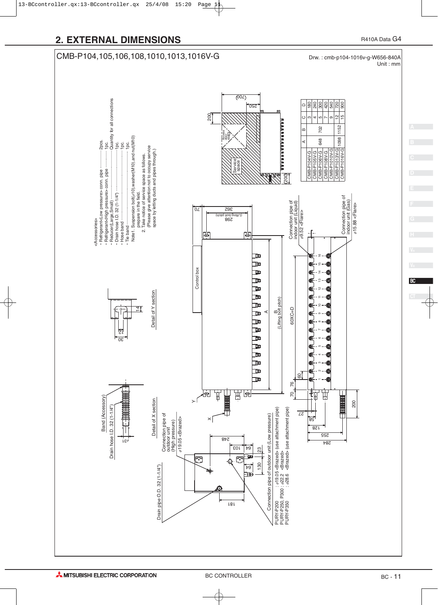



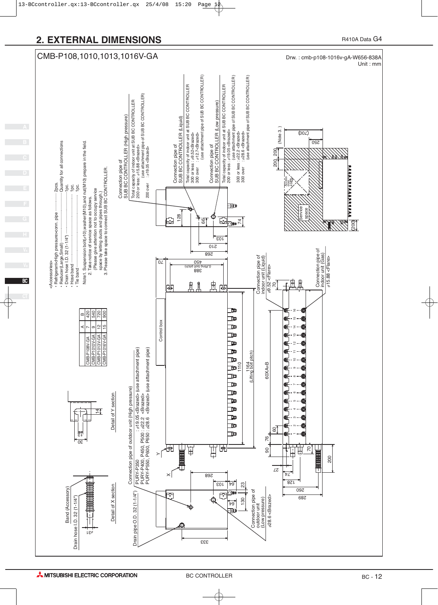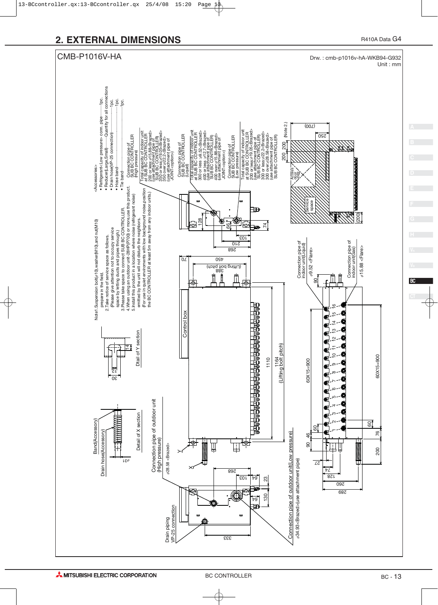

BC - 13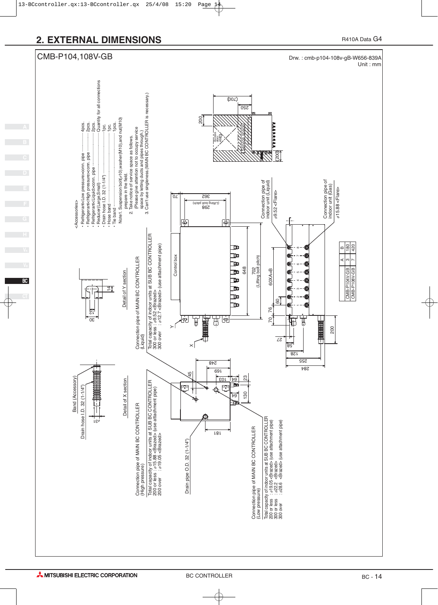![](_page_13_Figure_1.jpeg)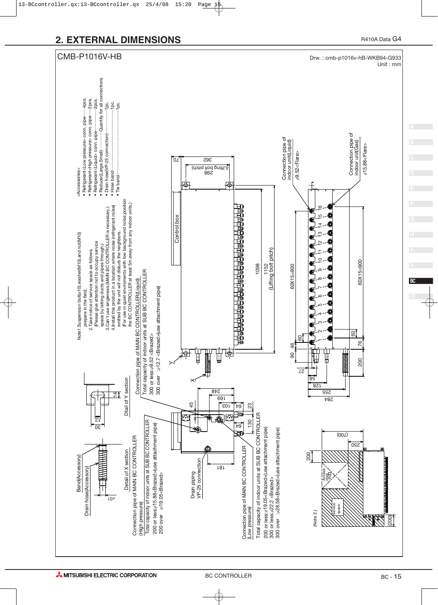![](_page_14_Figure_1.jpeg)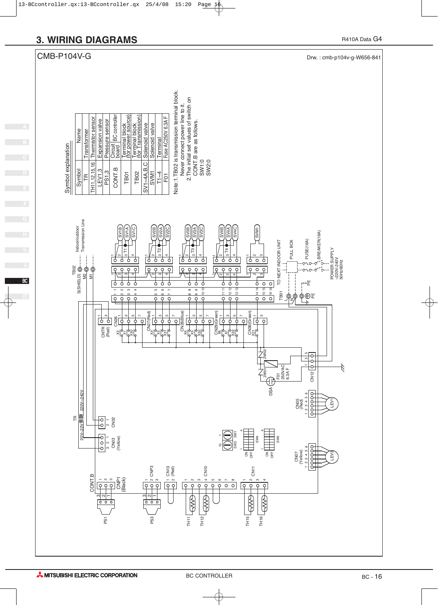![](_page_15_Figure_1.jpeg)

**BC**

R410A Data G4

![](_page_15_Figure_3.jpeg)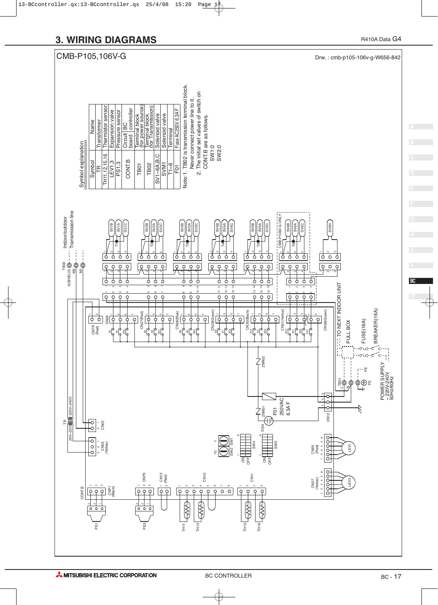![](_page_16_Figure_1.jpeg)

**BC**

တိ

 $\sim$ 

 $\circ$   $\circ$ 

TH11

 $\bigotimes$ 

TH<sub>12</sub>

 $\sqrt{\sqrt{2}}$ 

PS1

 $\frac{1}{0}$   $\frac{1}{0}$   $\frac{1}{0}$ 

TH<sub>15</sub>

LOVE

TH<sub>16</sub>

S

POWER SUPPLY ~ 220V-240V 50Hz/60Hz

POWER SUPPLY<br>~ 220V-240V<br>50Hz/60Hz

BREAKER(16A)

4Ď ō.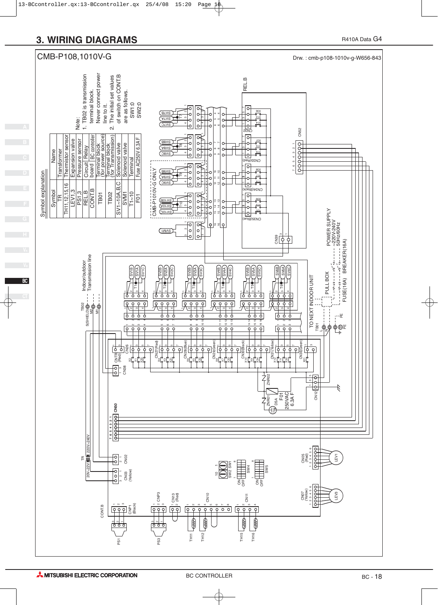![](_page_17_Figure_2.jpeg)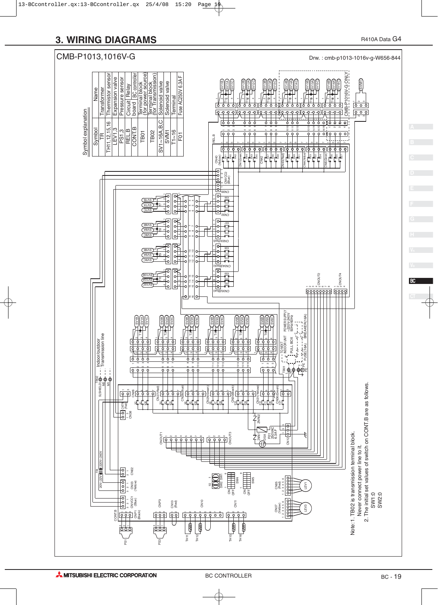![](_page_18_Figure_1.jpeg)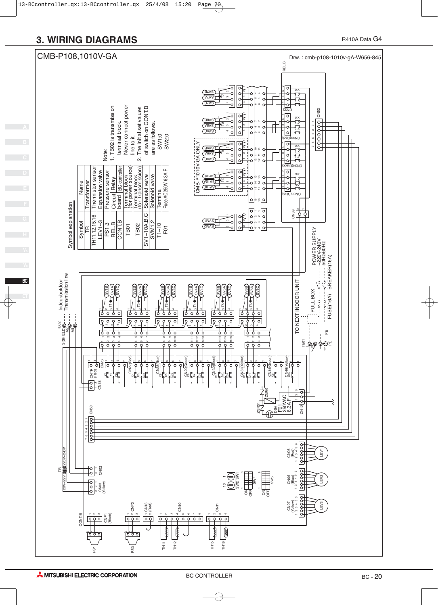**BC**

![](_page_19_Figure_2.jpeg)

**AMITSUBISHI ELECTRIC CORPORATION**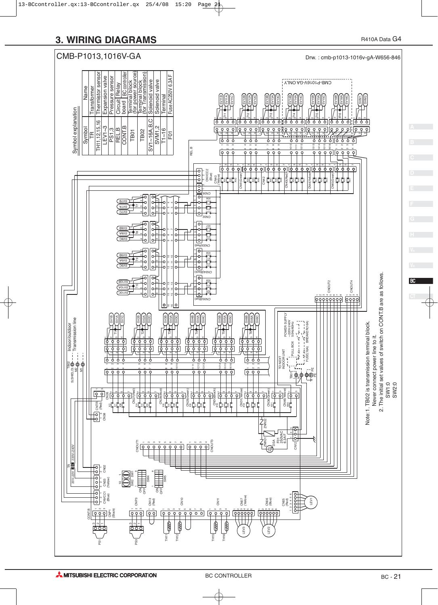![](_page_20_Figure_1.jpeg)

**BC**

 SW1:0 SW2:0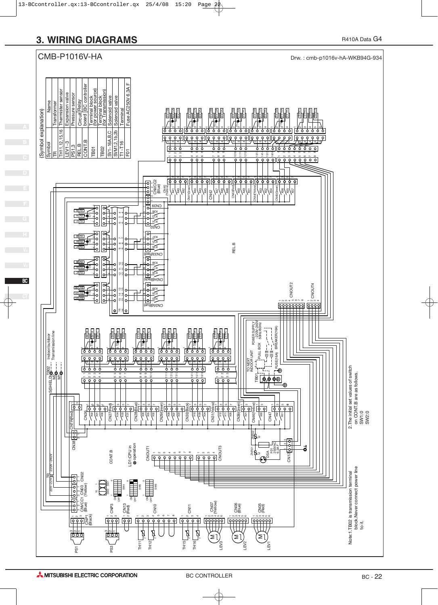![](_page_21_Figure_0.jpeg)

![](_page_21_Figure_2.jpeg)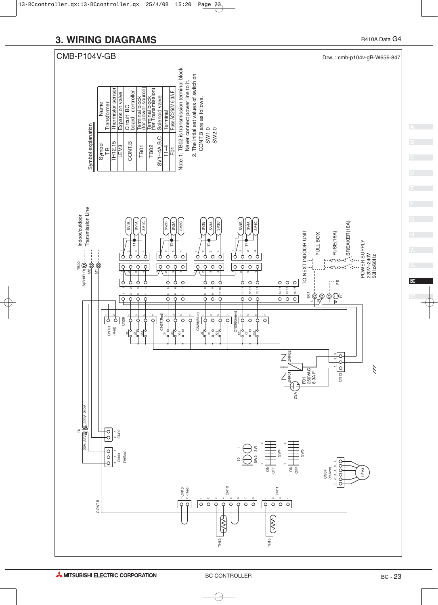![](_page_22_Figure_1.jpeg)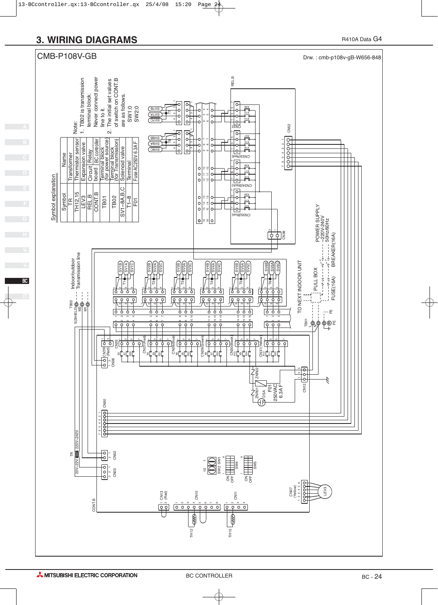![](_page_23_Figure_1.jpeg)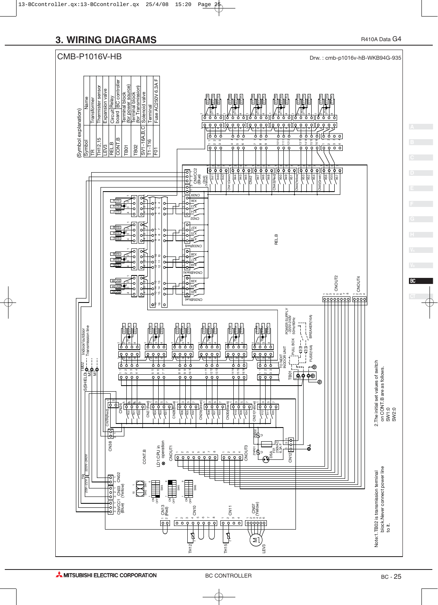![](_page_24_Figure_1.jpeg)